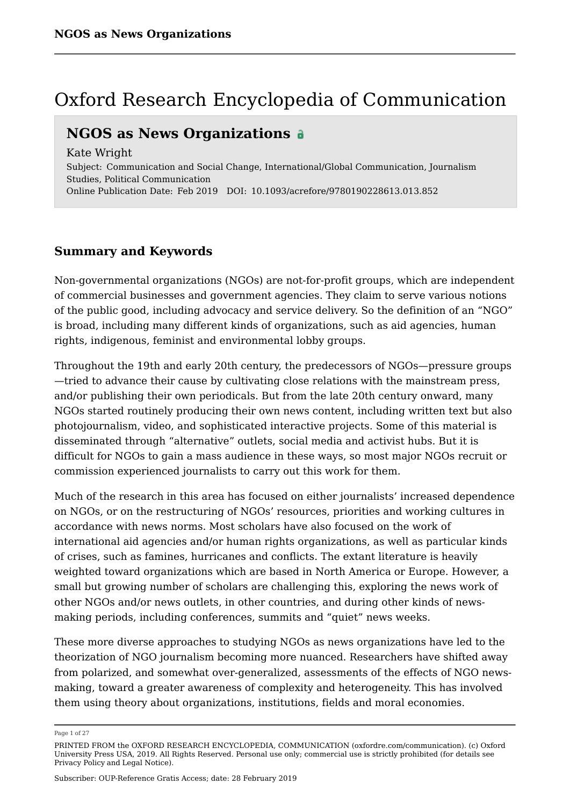### Oxford Research Encyclopedia of Communication

### **NGOS as News Organizations**

Subject: Communication and Social Change, International/Global Communication, Journalism Studies, Political Communication Online Publication Date: Feb 2019 DOI: 10.1093/acrefore/9780190228613.013.852 Kate Wright

### **Summary and Keywords**

Non-governmental organizations (NGOs) are not-for-profit groups, which are independent of commercial businesses and government agencies. They claim to serve various notions of the public good, including advocacy and service delivery. So the definition of an "NGO" is broad, including many different kinds of organizations, such as aid agencies, human rights, indigenous, feminist and environmental lobby groups.

Throughout the 19th and early 20th century, the predecessors of NGOs—pressure groups —tried to advance their cause by cultivating close relations with the mainstream press, and/or publishing their own periodicals. But from the late 20th century onward, many NGOs started routinely producing their own news content, including written text but also photojournalism, video, and sophisticated interactive projects. Some of this material is disseminated through "alternative" outlets, social media and activist hubs. But it is difficult for NGOs to gain a mass audience in these ways, so most major NGOs recruit or commission experienced journalists to carry out this work for them.

Much of the research in this area has focused on either journalists' increased dependence on NGOs, or on the restructuring of NGOs' resources, priorities and working cultures in accordance with news norms. Most scholars have also focused on the work of international aid agencies and/or human rights organizations, as well as particular kinds of crises, such as famines, hurricanes and conflicts. The extant literature is heavily weighted toward organizations which are based in North America or Europe. However, a small but growing number of scholars are challenging this, exploring the news work of other NGOs and/or news outlets, in other countries, and during other kinds of newsmaking periods, including conferences, summits and "quiet" news weeks.

These more diverse approaches to studying NGOs as news organizations have led to the theorization of NGO journalism becoming more nuanced. Researchers have shifted away from polarized, and somewhat over-generalized, assessments of the effects of NGO newsmaking, toward a greater awareness of complexity and heterogeneity. This has involved them using theory about organizations, institutions, fields and moral economies.

Page 1 of 27

PRINTED FROM the OXFORD RESEARCH ENCYCLOPEDIA, COMMUNICATION (oxfordre.com/communication). (c) Oxford University Press USA, 2019. All Rights Reserved. Personal use only; commercial use is strictly prohibited (for details see Privacy Policy and Legal Notice).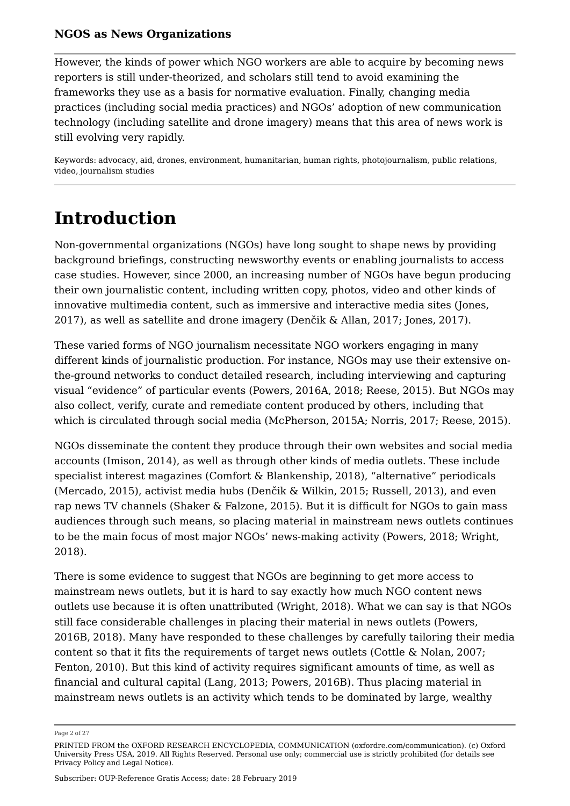However, the kinds of power which NGO workers are able to acquire by becoming news reporters is still under-theorized, and scholars still tend to avoid examining the frameworks they use as a basis for normative evaluation. Finally, changing media practices (including social media practices) and NGOs' adoption of new communication technology (including satellite and drone imagery) means that this area of news work is still evolving very rapidly.

Keywords: advocacy, aid, drones, environment, humanitarian, human rights, photojournalism, public relations, video, journalism studies

### **Introduction**

Non-governmental organizations (NGOs) have long sought to shape news by providing background briefings, constructing newsworthy events or enabling journalists to access case studies. However, since 2000, an increasing number of NGOs have begun producing their own journalistic content, including written copy, photos, video and other kinds of innovative multimedia content, such as immersive and interactive media sites (Jones, 2017), as well as satellite and drone imagery (Denčik & Allan, 2017; Jones, 2017).

These varied forms of NGO journalism necessitate NGO workers engaging in many different kinds of journalistic production. For instance, NGOs may use their extensive onthe-ground networks to conduct detailed research, including interviewing and capturing visual "evidence" of particular events (Powers, 2016A, 2018; Reese, 2015). But NGOs may also collect, verify, curate and remediate content produced by others, including that which is circulated through social media (McPherson, 2015A; Norris, 2017; Reese, 2015).

NGOs disseminate the content they produce through their own websites and social media accounts (Imison, 2014), as well as through other kinds of media outlets. These include specialist interest magazines (Comfort & Blankenship, 2018), "alternative" periodicals (Mercado, 2015), activist media hubs (Denčik & Wilkin, 2015; Russell, 2013), and even rap news TV channels (Shaker & Falzone, 2015). But it is difficult for NGOs to gain mass audiences through such means, so placing material in mainstream news outlets continues to be the main focus of most major NGOs' news-making activity (Powers, 2018; Wright, 2018).

There is some evidence to suggest that NGOs are beginning to get more access to mainstream news outlets, but it is hard to say exactly how much NGO content news outlets use because it is often unattributed (Wright, 2018). What we can say is that NGOs still face considerable challenges in placing their material in news outlets (Powers, 2016B, 2018). Many have responded to these challenges by carefully tailoring their media content so that it fits the requirements of target news outlets (Cottle & Nolan, 2007; Fenton, 2010). But this kind of activity requires significant amounts of time, as well as financial and cultural capital (Lang, 2013; Powers, 2016B). Thus placing material in mainstream news outlets is an activity which tends to be dominated by large, wealthy

Page 2 of 27

PRINTED FROM the OXFORD RESEARCH ENCYCLOPEDIA, COMMUNICATION (oxfordre.com/communication). (c) Oxford University Press USA, 2019. All Rights Reserved. Personal use only; commercial use is strictly prohibited (for details see Privacy Policy and Legal Notice).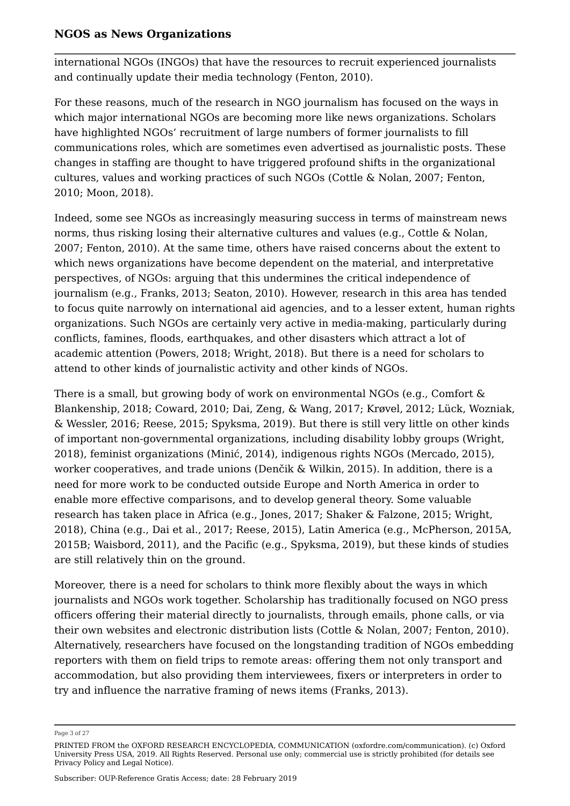international NGOs (INGOs) that have the resources to recruit experienced journalists and continually update their media technology (Fenton, 2010).

For these reasons, much of the research in NGO journalism has focused on the ways in which major international NGOs are becoming more like news organizations. Scholars have highlighted NGOs' recruitment of large numbers of former journalists to fill communications roles, which are sometimes even advertised as journalistic posts. These changes in staffing are thought to have triggered profound shifts in the organizational cultures, values and working practices of such NGOs (Cottle & Nolan, 2007; Fenton, 2010; Moon, 2018).

Indeed, some see NGOs as increasingly measuring success in terms of mainstream news norms, thus risking losing their alternative cultures and values (e.g., Cottle & Nolan, 2007; Fenton, 2010). At the same time, others have raised concerns about the extent to which news organizations have become dependent on the material, and interpretative perspectives, of NGOs: arguing that this undermines the critical independence of journalism (e.g., Franks, 2013; Seaton, 2010). However, research in this area has tended to focus quite narrowly on international aid agencies, and to a lesser extent, human rights organizations. Such NGOs are certainly very active in media-making, particularly during conflicts, famines, floods, earthquakes, and other disasters which attract a lot of academic attention (Powers, 2018; Wright, 2018). But there is a need for scholars to attend to other kinds of journalistic activity and other kinds of NGOs.

There is a small, but growing body of work on environmental NGOs (e.g., Comfort & Blankenship, 2018; Coward, 2010; Dai, Zeng, & Wang, 2017; Krøvel, 2012; Lück, Wozniak, & Wessler, 2016; Reese, 2015; Spyksma, 2019). But there is still very little on other kinds of important non-governmental organizations, including disability lobby groups (Wright, 2018), feminist organizations (Minić, 2014), indigenous rights NGOs (Mercado, 2015), worker cooperatives, and trade unions (Denčik & Wilkin, 2015). In addition, there is a need for more work to be conducted outside Europe and North America in order to enable more effective comparisons, and to develop general theory. Some valuable research has taken place in Africa (e.g., Jones, 2017; Shaker & Falzone, 2015; Wright, 2018), China (e.g., Dai et al., 2017; Reese, 2015), Latin America (e.g., McPherson, 2015A, 2015B; Waisbord, 2011), and the Pacific (e.g., Spyksma, 2019), but these kinds of studies are still relatively thin on the ground.

Moreover, there is a need for scholars to think more flexibly about the ways in which journalists and NGOs work together. Scholarship has traditionally focused on NGO press officers offering their material directly to journalists, through emails, phone calls, or via their own websites and electronic distribution lists (Cottle & Nolan, 2007; Fenton, 2010). Alternatively, researchers have focused on the longstanding tradition of NGOs embedding reporters with them on field trips to remote areas: offering them not only transport and accommodation, but also providing them interviewees, fixers or interpreters in order to try and influence the narrative framing of news items (Franks, 2013).

Page 3 of 27

PRINTED FROM the OXFORD RESEARCH ENCYCLOPEDIA, COMMUNICATION (oxfordre.com/communication). (c) Oxford University Press USA, 2019. All Rights Reserved. Personal use only; commercial use is strictly prohibited (for details see Privacy Policy and Legal Notice).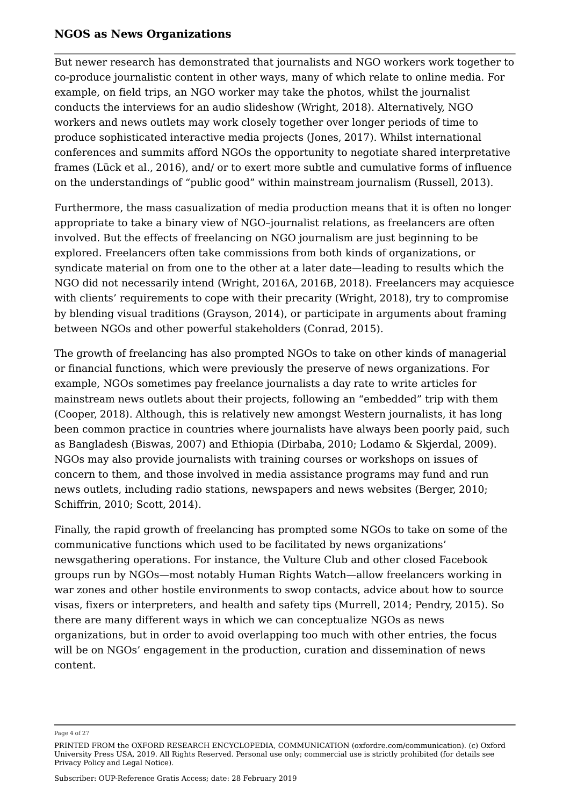But newer research has demonstrated that journalists and NGO workers work together to co-produce journalistic content in other ways, many of which relate to online media. For example, on field trips, an NGO worker may take the photos, whilst the journalist conducts the interviews for an audio slideshow (Wright, 2018). Alternatively, NGO workers and news outlets may work closely together over longer periods of time to produce sophisticated interactive media projects (Jones, 2017). Whilst international conferences and summits afford NGOs the opportunity to negotiate shared interpretative frames (Lück et al., 2016), and/ or to exert more subtle and cumulative forms of influence on the understandings of "public good" within mainstream journalism (Russell, 2013).

Furthermore, the mass casualization of media production means that it is often no longer appropriate to take a binary view of NGO–journalist relations, as freelancers are often involved. But the effects of freelancing on NGO journalism are just beginning to be explored. Freelancers often take commissions from both kinds of organizations, or syndicate material on from one to the other at a later date—leading to results which the NGO did not necessarily intend (Wright, 2016A, 2016B, 2018). Freelancers may acquiesce with clients' requirements to cope with their precarity (Wright, 2018), try to compromise by blending visual traditions (Grayson, 2014), or participate in arguments about framing between NGOs and other powerful stakeholders (Conrad, 2015).

The growth of freelancing has also prompted NGOs to take on other kinds of managerial or financial functions, which were previously the preserve of news organizations. For example, NGOs sometimes pay freelance journalists a day rate to write articles for mainstream news outlets about their projects, following an "embedded" trip with them (Cooper, 2018). Although, this is relatively new amongst Western journalists, it has long been common practice in countries where journalists have always been poorly paid, such as Bangladesh (Biswas, 2007) and Ethiopia (Dirbaba, 2010; Lodamo & Skjerdal, 2009). NGOs may also provide journalists with training courses or workshops on issues of concern to them, and those involved in media assistance programs may fund and run news outlets, including radio stations, newspapers and news websites (Berger, 2010; Schiffrin, 2010; Scott, 2014).

Finally, the rapid growth of freelancing has prompted some NGOs to take on some of the communicative functions which used to be facilitated by news organizations' newsgathering operations. For instance, the Vulture Club and other closed Facebook groups run by NGOs—most notably Human Rights Watch—allow freelancers working in war zones and other hostile environments to swop contacts, advice about how to source visas, fixers or interpreters, and health and safety tips (Murrell, 2014; Pendry, 2015). So there are many different ways in which we can conceptualize NGOs as news organizations, but in order to avoid overlapping too much with other entries, the focus will be on NGOs' engagement in the production, curation and dissemination of news content.

Page 4 of 27

PRINTED FROM the OXFORD RESEARCH ENCYCLOPEDIA, COMMUNICATION (oxfordre.com/communication). (c) Oxford University Press USA, 2019. All Rights Reserved. Personal use only; commercial use is strictly prohibited (for details see Privacy Policy and Legal Notice).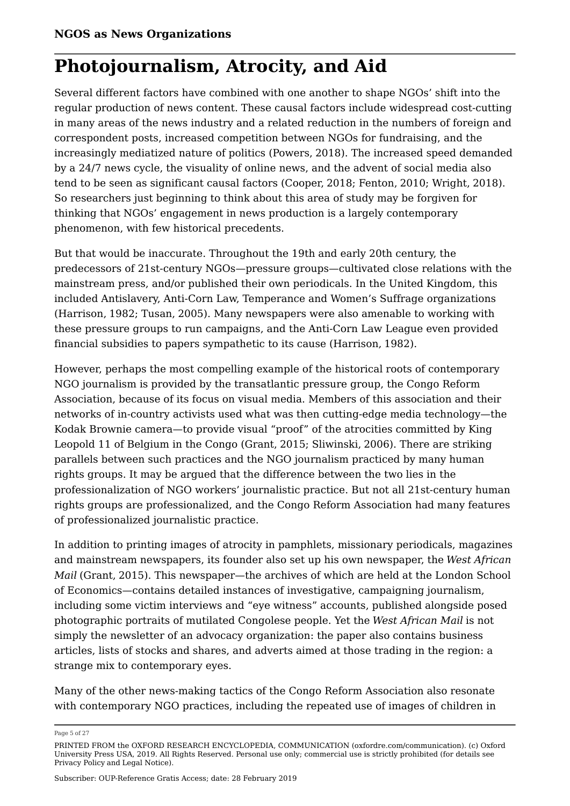# **Photojournalism, Atrocity, and Aid**

Several different factors have combined with one another to shape NGOs' shift into the regular production of news content. These causal factors include widespread cost-cutting in many areas of the news industry and a related reduction in the numbers of foreign and correspondent posts, increased competition between NGOs for fundraising, and the increasingly mediatized nature of politics (Powers, 2018). The increased speed demanded by a 24/7 news cycle, the visuality of online news, and the advent of social media also tend to be seen as significant causal factors (Cooper, 2018; Fenton, 2010; Wright, 2018). So researchers just beginning to think about this area of study may be forgiven for thinking that NGOs' engagement in news production is a largely contemporary phenomenon, with few historical precedents.

But that would be inaccurate. Throughout the 19th and early 20th century, the predecessors of 21st-century NGOs—pressure groups—cultivated close relations with the mainstream press, and/or published their own periodicals. In the United Kingdom, this included Antislavery, Anti-Corn Law, Temperance and Women's Suffrage organizations (Harrison, 1982; Tusan, 2005). Many newspapers were also amenable to working with these pressure groups to run campaigns, and the Anti-Corn Law League even provided financial subsidies to papers sympathetic to its cause (Harrison, 1982).

However, perhaps the most compelling example of the historical roots of contemporary NGO journalism is provided by the transatlantic pressure group, the Congo Reform Association, because of its focus on visual media. Members of this association and their networks of in-country activists used what was then cutting-edge media technology—the Kodak Brownie camera—to provide visual "proof" of the atrocities committed by King Leopold 11 of Belgium in the Congo (Grant, 2015; Sliwinski, 2006). There are striking parallels between such practices and the NGO journalism practiced by many human rights groups. It may be argued that the difference between the two lies in the professionalization of NGO workers' journalistic practice. But not all 21st-century human rights groups are professionalized, and the Congo Reform Association had many features of professionalized journalistic practice.

In addition to printing images of atrocity in pamphlets, missionary periodicals, magazines and mainstream newspapers, its founder also set up his own newspaper, the *West African Mail* (Grant, 2015). This newspaper—the archives of which are held at the London School of Economics—contains detailed instances of investigative, campaigning journalism, including some victim interviews and "eye witness" accounts, published alongside posed photographic portraits of mutilated Congolese people. Yet the *West African Mail* is not simply the newsletter of an advocacy organization: the paper also contains business articles, lists of stocks and shares, and adverts aimed at those trading in the region: a strange mix to contemporary eyes.

Many of the other news-making tactics of the Congo Reform Association also resonate with contemporary NGO practices, including the repeated use of images of children in

Page 5 of 27

PRINTED FROM the OXFORD RESEARCH ENCYCLOPEDIA, COMMUNICATION (oxfordre.com/communication). (c) Oxford University Press USA, 2019. All Rights Reserved. Personal use only; commercial use is strictly prohibited (for details see Privacy Policy and Legal Notice).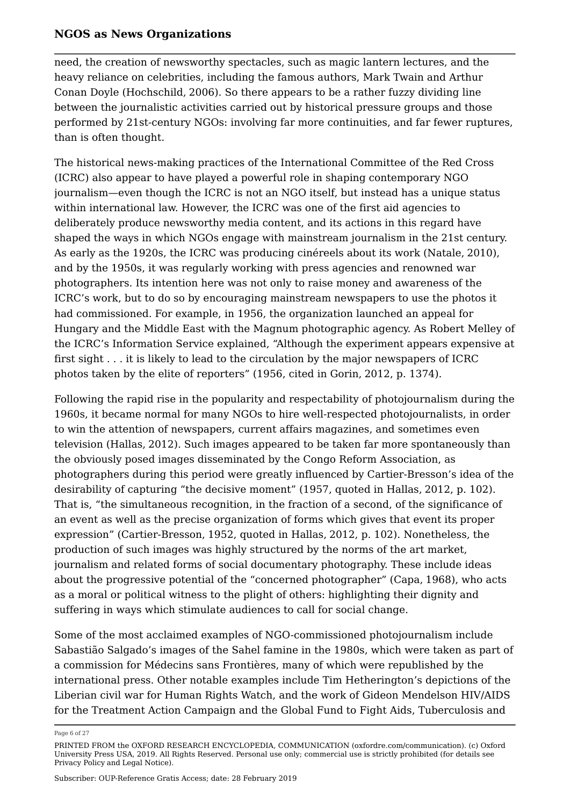need, the creation of newsworthy spectacles, such as magic lantern lectures, and the heavy reliance on celebrities, including the famous authors, Mark Twain and Arthur Conan Doyle (Hochschild, 2006). So there appears to be a rather fuzzy dividing line between the journalistic activities carried out by historical pressure groups and those performed by 21st-century NGOs: involving far more continuities, and far fewer ruptures, than is often thought.

The historical news-making practices of the International Committee of the Red Cross (ICRC) also appear to have played a powerful role in shaping contemporary NGO journalism—even though the ICRC is not an NGO itself, but instead has a unique status within international law. However, the ICRC was one of the first aid agencies to deliberately produce newsworthy media content, and its actions in this regard have shaped the ways in which NGOs engage with mainstream journalism in the 21st century. As early as the 1920s, the ICRC was producing cinéreels about its work (Natale, 2010), and by the 1950s, it was regularly working with press agencies and renowned war photographers. Its intention here was not only to raise money and awareness of the ICRC's work, but to do so by encouraging mainstream newspapers to use the photos it had commissioned. For example, in 1956, the organization launched an appeal for Hungary and the Middle East with the Magnum photographic agency. As Robert Melley of the ICRC's Information Service explained, "Although the experiment appears expensive at first sight . . . it is likely to lead to the circulation by the major newspapers of ICRC photos taken by the elite of reporters" (1956, cited in Gorin, 2012, p. 1374).

Following the rapid rise in the popularity and respectability of photojournalism during the 1960s, it became normal for many NGOs to hire well-respected photojournalists, in order to win the attention of newspapers, current affairs magazines, and sometimes even television (Hallas, 2012). Such images appeared to be taken far more spontaneously than the obviously posed images disseminated by the Congo Reform Association, as photographers during this period were greatly influenced by Cartier-Bresson's idea of the desirability of capturing "the decisive moment" (1957, quoted in Hallas, 2012, p. 102). That is, "the simultaneous recognition, in the fraction of a second, of the significance of an event as well as the precise organization of forms which gives that event its proper expression" (Cartier-Bresson, 1952, quoted in Hallas, 2012, p. 102). Nonetheless, the production of such images was highly structured by the norms of the art market, journalism and related forms of social documentary photography. These include ideas about the progressive potential of the "concerned photographer" (Capa, 1968), who acts as a moral or political witness to the plight of others: highlighting their dignity and suffering in ways which stimulate audiences to call for social change.

Some of the most acclaimed examples of NGO-commissioned photojournalism include Sabastião Salgado's images of the Sahel famine in the 1980s, which were taken as part of a commission for Médecins sans Frontières, many of which were republished by the international press. Other notable examples include Tim Hetherington's depictions of the Liberian civil war for Human Rights Watch, and the work of Gideon Mendelson HIV/AIDS for the Treatment Action Campaign and the Global Fund to Fight Aids, Tuberculosis and

Page 6 of 27

PRINTED FROM the OXFORD RESEARCH ENCYCLOPEDIA, COMMUNICATION (oxfordre.com/communication). (c) Oxford University Press USA, 2019. All Rights Reserved. Personal use only; commercial use is strictly prohibited (for details see Privacy Policy and Legal Notice).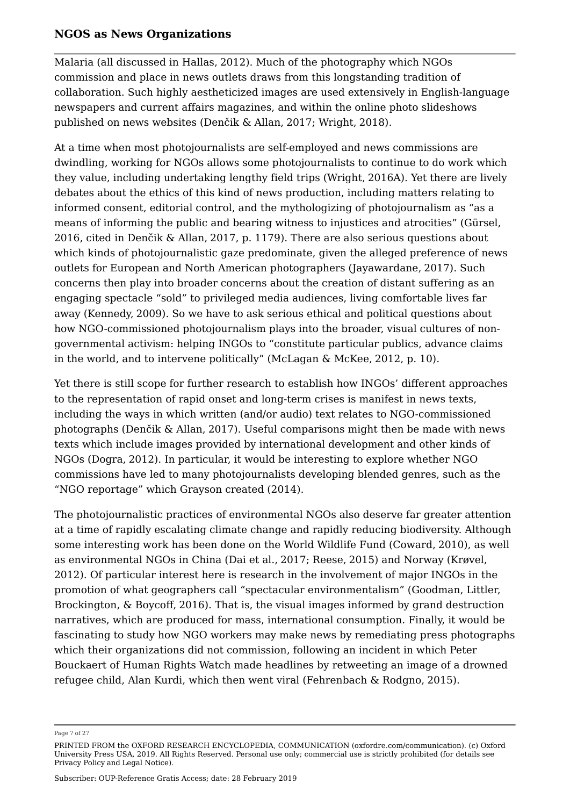Malaria (all discussed in Hallas, 2012). Much of the photography which NGOs commission and place in news outlets draws from this longstanding tradition of collaboration. Such highly aestheticized images are used extensively in English-language newspapers and current affairs magazines, and within the online photo slideshows published on news websites (Denčik & Allan, 2017; Wright, 2018).

At a time when most photojournalists are self-employed and news commissions are dwindling, working for NGOs allows some photojournalists to continue to do work which they value, including undertaking lengthy field trips (Wright, 2016A). Yet there are lively debates about the ethics of this kind of news production, including matters relating to informed consent, editorial control, and the mythologizing of photojournalism as "as a means of informing the public and bearing witness to injustices and atrocities" (Gürsel, 2016, cited in Denčik & Allan, 2017, p. 1179). There are also serious questions about which kinds of photojournalistic gaze predominate, given the alleged preference of news outlets for European and North American photographers (Jayawardane, 2017). Such concerns then play into broader concerns about the creation of distant suffering as an engaging spectacle "sold" to privileged media audiences, living comfortable lives far away (Kennedy, 2009). So we have to ask serious ethical and political questions about how NGO-commissioned photojournalism plays into the broader, visual cultures of nongovernmental activism: helping INGOs to "constitute particular publics, advance claims in the world, and to intervene politically" (McLagan & McKee, 2012, p. 10).

Yet there is still scope for further research to establish how INGOs' different approaches to the representation of rapid onset and long-term crises is manifest in news texts, including the ways in which written (and/or audio) text relates to NGO-commissioned photographs (Denčik & Allan, 2017). Useful comparisons might then be made with news texts which include images provided by international development and other kinds of NGOs (Dogra, 2012). In particular, it would be interesting to explore whether NGO commissions have led to many photojournalists developing blended genres, such as the "NGO reportage" which Grayson created (2014).

The photojournalistic practices of environmental NGOs also deserve far greater attention at a time of rapidly escalating climate change and rapidly reducing biodiversity. Although some interesting work has been done on the World Wildlife Fund (Coward, 2010), as well as environmental NGOs in China (Dai et al., 2017; Reese, 2015) and Norway (Krøvel, 2012). Of particular interest here is research in the involvement of major INGOs in the promotion of what geographers call "spectacular environmentalism" (Goodman, Littler, Brockington, & Boycoff, 2016). That is, the visual images informed by grand destruction narratives, which are produced for mass, international consumption. Finally, it would be fascinating to study how NGO workers may make news by remediating press photographs which their organizations did not commission, following an incident in which Peter Bouckaert of Human Rights Watch made headlines by retweeting an image of a drowned refugee child, Alan Kurdi, which then went viral (Fehrenbach & Rodgno, 2015).

Page 7 of 27

PRINTED FROM the OXFORD RESEARCH ENCYCLOPEDIA, COMMUNICATION (oxfordre.com/communication). (c) Oxford University Press USA, 2019. All Rights Reserved. Personal use only; commercial use is strictly prohibited (for details see Privacy Policy and Legal Notice).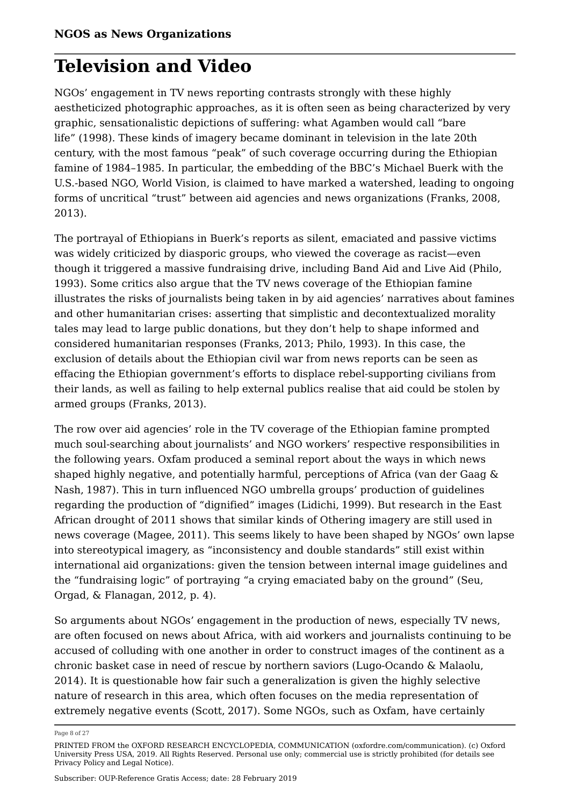## **Television and Video**

NGOs' engagement in TV news reporting contrasts strongly with these highly aestheticized photographic approaches, as it is often seen as being characterized by very graphic, sensationalistic depictions of suffering: what Agamben would call "bare life" (1998). These kinds of imagery became dominant in television in the late 20th century, with the most famous "peak" of such coverage occurring during the Ethiopian famine of 1984–1985. In particular, the embedding of the BBC's Michael Buerk with the U.S.-based NGO, World Vision, is claimed to have marked a watershed, leading to ongoing forms of uncritical "trust" between aid agencies and news organizations (Franks, 2008, 2013).

The portrayal of Ethiopians in Buerk's reports as silent, emaciated and passive victims was widely criticized by diasporic groups, who viewed the coverage as racist—even though it triggered a massive fundraising drive, including Band Aid and Live Aid (Philo, 1993). Some critics also argue that the TV news coverage of the Ethiopian famine illustrates the risks of journalists being taken in by aid agencies' narratives about famines and other humanitarian crises: asserting that simplistic and decontextualized morality tales may lead to large public donations, but they don't help to shape informed and considered humanitarian responses (Franks, 2013; Philo, 1993). In this case, the exclusion of details about the Ethiopian civil war from news reports can be seen as effacing the Ethiopian government's efforts to displace rebel-supporting civilians from their lands, as well as failing to help external publics realise that aid could be stolen by armed groups (Franks, 2013).

The row over aid agencies' role in the TV coverage of the Ethiopian famine prompted much soul-searching about journalists' and NGO workers' respective responsibilities in the following years. Oxfam produced a seminal report about the ways in which news shaped highly negative, and potentially harmful, perceptions of Africa (van der Gaag & Nash, 1987). This in turn influenced NGO umbrella groups' production of guidelines regarding the production of "dignified" images (Lidichi, 1999). But research in the East African drought of 2011 shows that similar kinds of Othering imagery are still used in news coverage (Magee, 2011). This seems likely to have been shaped by NGOs' own lapse into stereotypical imagery, as "inconsistency and double standards" still exist within international aid organizations: given the tension between internal image guidelines and the "fundraising logic" of portraying "a crying emaciated baby on the ground" (Seu, Orgad, & Flanagan, 2012, p. 4).

So arguments about NGOs' engagement in the production of news, especially TV news, are often focused on news about Africa, with aid workers and journalists continuing to be accused of colluding with one another in order to construct images of the continent as a chronic basket case in need of rescue by northern saviors (Lugo-Ocando & Malaolu, 2014). It is questionable how fair such a generalization is given the highly selective nature of research in this area, which often focuses on the media representation of extremely negative events (Scott, 2017). Some NGOs, such as Oxfam, have certainly

Page 8 of 27

PRINTED FROM the OXFORD RESEARCH ENCYCLOPEDIA, COMMUNICATION (oxfordre.com/communication). (c) Oxford University Press USA, 2019. All Rights Reserved. Personal use only; commercial use is strictly prohibited (for details see Privacy Policy and Legal Notice).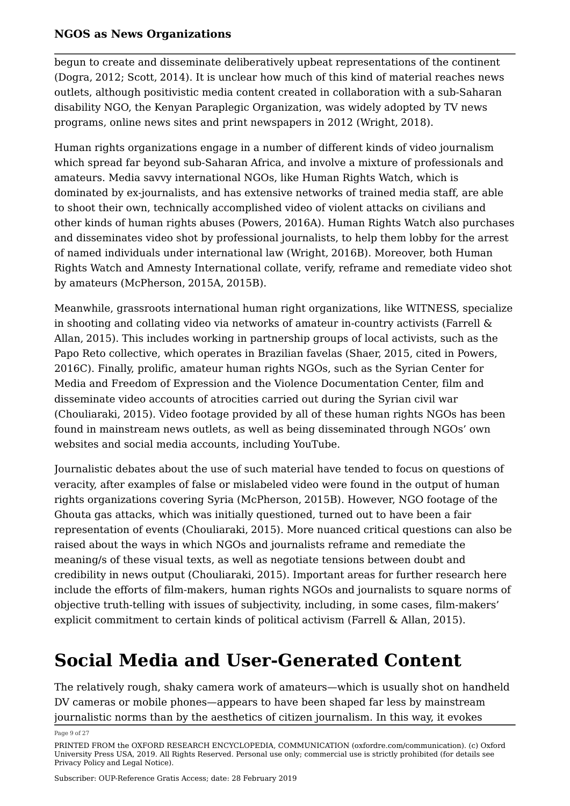begun to create and disseminate deliberatively upbeat representations of the continent (Dogra, 2012; Scott, 2014). It is unclear how much of this kind of material reaches news outlets, although positivistic media content created in collaboration with a sub-Saharan disability NGO, the Kenyan Paraplegic Organization, was widely adopted by TV news programs, online news sites and print newspapers in 2012 (Wright, 2018).

Human rights organizations engage in a number of different kinds of video journalism which spread far beyond sub-Saharan Africa, and involve a mixture of professionals and amateurs. Media savvy international NGOs, like Human Rights Watch, which is dominated by ex-journalists, and has extensive networks of trained media staff, are able to shoot their own, technically accomplished video of violent attacks on civilians and other kinds of human rights abuses (Powers, 2016A). Human Rights Watch also purchases and disseminates video shot by professional journalists, to help them lobby for the arrest of named individuals under international law (Wright, 2016B). Moreover, both Human Rights Watch and Amnesty International collate, verify, reframe and remediate video shot by amateurs (McPherson, 2015A, 2015B).

Meanwhile, grassroots international human right organizations, like WITNESS, specialize in shooting and collating video via networks of amateur in-country activists (Farrell & Allan, 2015). This includes working in partnership groups of local activists, such as the Papo Reto collective, which operates in Brazilian favelas (Shaer, 2015, cited in Powers, 2016C). Finally, prolific, amateur human rights NGOs, such as the Syrian Center for Media and Freedom of Expression and the Violence Documentation Center, film and disseminate video accounts of atrocities carried out during the Syrian civil war (Chouliaraki, 2015). Video footage provided by all of these human rights NGOs has been found in mainstream news outlets, as well as being disseminated through NGOs' own websites and social media accounts, including YouTube.

Journalistic debates about the use of such material have tended to focus on questions of veracity, after examples of false or mislabeled video were found in the output of human rights organizations covering Syria (McPherson, 2015B). However, NGO footage of the Ghouta gas attacks, which was initially questioned, turned out to have been a fair representation of events (Chouliaraki, 2015). More nuanced critical questions can also be raised about the ways in which NGOs and journalists reframe and remediate the meaning/s of these visual texts, as well as negotiate tensions between doubt and credibility in news output (Chouliaraki, 2015). Important areas for further research here include the efforts of film-makers, human rights NGOs and journalists to square norms of objective truth-telling with issues of subjectivity, including, in some cases, film-makers' explicit commitment to certain kinds of political activism (Farrell & Allan, 2015).

# **Social Media and User-Generated Content**

The relatively rough, shaky camera work of amateurs—which is usually shot on handheld DV cameras or mobile phones—appears to have been shaped far less by mainstream journalistic norms than by the aesthetics of citizen journalism. In this way, it evokes

Page 9 of 27

PRINTED FROM the OXFORD RESEARCH ENCYCLOPEDIA, COMMUNICATION (oxfordre.com/communication). (c) Oxford University Press USA, 2019. All Rights Reserved. Personal use only; commercial use is strictly prohibited (for details see Privacy Policy and Legal Notice).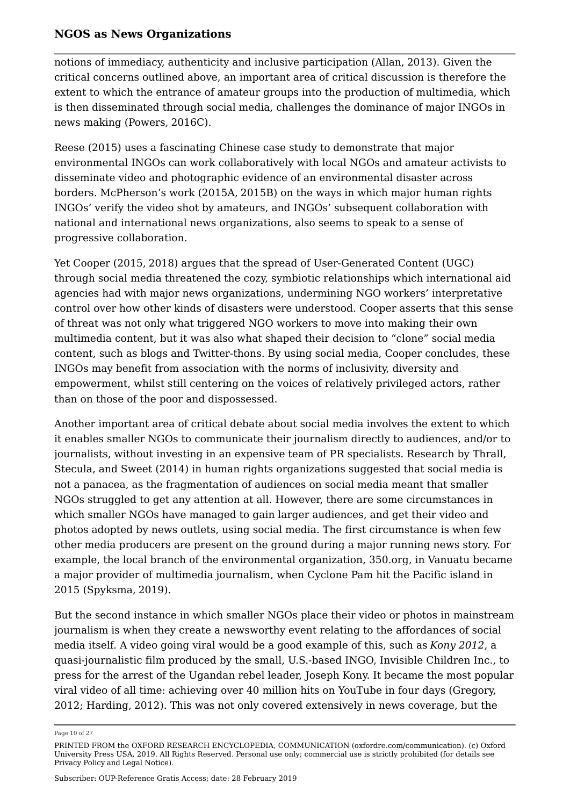notions of immediacy, authenticity and inclusive participation (Allan, 2013). Given the critical concerns outlined above, an important area of critical discussion is therefore the extent to which the entrance of amateur groups into the production of multimedia, which is then disseminated through social media, challenges the dominance of major INGOs in news making (Powers, 2016C).

Reese (2015) uses a fascinating Chinese case study to demonstrate that major environmental INGOs can work collaboratively with local NGOs and amateur activists to disseminate video and photographic evidence of an environmental disaster across borders. McPherson's work (2015A, 2015B) on the ways in which major human rights INGOs' verify the video shot by amateurs, and INGOs' subsequent collaboration with national and international news organizations, also seems to speak to a sense of progressive collaboration.

Yet Cooper (2015, 2018) argues that the spread of User-Generated Content (UGC) through social media threatened the cozy, symbiotic relationships which international aid agencies had with major news organizations, undermining NGO workers' interpretative control over how other kinds of disasters were understood. Cooper asserts that this sense of threat was not only what triggered NGO workers to move into making their own multimedia content, but it was also what shaped their decision to "clone" social media content, such as blogs and Twitter-thons. By using social media, Cooper concludes, these INGOs may benefit from association with the norms of inclusivity, diversity and empowerment, whilst still centering on the voices of relatively privileged actors, rather than on those of the poor and dispossessed.

Another important area of critical debate about social media involves the extent to which it enables smaller NGOs to communicate their journalism directly to audiences, and/or to journalists, without investing in an expensive team of PR specialists. Research by Thrall, Stecula, and Sweet (2014) in human rights organizations suggested that social media is not a panacea, as the fragmentation of audiences on social media meant that smaller NGOs struggled to get any attention at all. However, there are some circumstances in which smaller NGOs have managed to gain larger audiences, and get their video and photos adopted by news outlets, using social media. The first circumstance is when few other media producers are present on the ground during a major running news story. For example, the local branch of the environmental organization, 350.org, in Vanuatu became a major provider of multimedia journalism, when Cyclone Pam hit the Pacific island in 2015 (Spyksma, 2019).

But the second instance in which smaller NGOs place their video or photos in mainstream journalism is when they create a newsworthy event relating to the affordances of social media itself. A video going viral would be a good example of this, such as *Kony 2012*, a quasi-journalistic film produced by the small, U.S.-based INGO, Invisible Children Inc., to press for the arrest of the Ugandan rebel leader, Joseph Kony. It became the most popular viral video of all time: achieving over 40 million hits on YouTube in four days (Gregory, 2012; Harding, 2012). This was not only covered extensively in news coverage, but the

Page 10 of 27

PRINTED FROM the OXFORD RESEARCH ENCYCLOPEDIA, COMMUNICATION (oxfordre.com/communication). (c) Oxford University Press USA, 2019. All Rights Reserved. Personal use only; commercial use is strictly prohibited (for details see Privacy Policy and Legal Notice).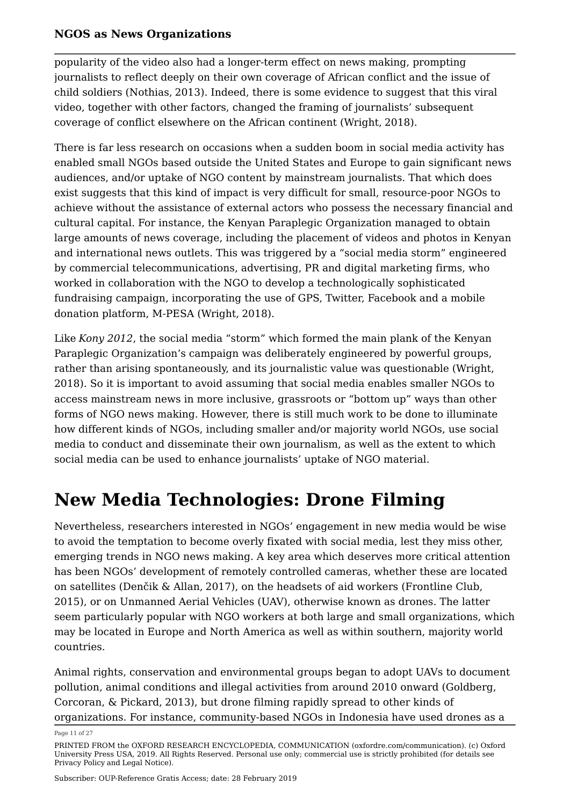popularity of the video also had a longer-term effect on news making, prompting journalists to reflect deeply on their own coverage of African conflict and the issue of child soldiers (Nothias, 2013). Indeed, there is some evidence to suggest that this viral video, together with other factors, changed the framing of journalists' subsequent coverage of conflict elsewhere on the African continent (Wright, 2018).

There is far less research on occasions when a sudden boom in social media activity has enabled small NGOs based outside the United States and Europe to gain significant news audiences, and/or uptake of NGO content by mainstream journalists. That which does exist suggests that this kind of impact is very difficult for small, resource-poor NGOs to achieve without the assistance of external actors who possess the necessary financial and cultural capital. For instance, the Kenyan Paraplegic Organization managed to obtain large amounts of news coverage, including the placement of videos and photos in Kenyan and international news outlets. This was triggered by a "social media storm" engineered by commercial telecommunications, advertising, PR and digital marketing firms, who worked in collaboration with the NGO to develop a technologically sophisticated fundraising campaign, incorporating the use of GPS, Twitter, Facebook and a mobile donation platform, M-PESA (Wright, 2018).

Like *Kony 2012*, the social media "storm" which formed the main plank of the Kenyan Paraplegic Organization's campaign was deliberately engineered by powerful groups, rather than arising spontaneously, and its journalistic value was questionable (Wright, 2018). So it is important to avoid assuming that social media enables smaller NGOs to access mainstream news in more inclusive, grassroots or "bottom up" ways than other forms of NGO news making. However, there is still much work to be done to illuminate how different kinds of NGOs, including smaller and/or majority world NGOs, use social media to conduct and disseminate their own journalism, as well as the extent to which social media can be used to enhance journalists' uptake of NGO material.

# **New Media Technologies: Drone Filming**

Nevertheless, researchers interested in NGOs' engagement in new media would be wise to avoid the temptation to become overly fixated with social media, lest they miss other, emerging trends in NGO news making. A key area which deserves more critical attention has been NGOs' development of remotely controlled cameras, whether these are located on satellites (Denčik & Allan, 2017), on the headsets of aid workers (Frontline Club, 2015), or on Unmanned Aerial Vehicles (UAV), otherwise known as drones. The latter seem particularly popular with NGO workers at both large and small organizations, which may be located in Europe and North America as well as within southern, majority world countries.

Animal rights, conservation and environmental groups began to adopt UAVs to document pollution, animal conditions and illegal activities from around 2010 onward (Goldberg, Corcoran, & Pickard, 2013), but drone filming rapidly spread to other kinds of organizations. For instance, community-based NGOs in Indonesia have used drones as a

Page 11 of 27

PRINTED FROM the OXFORD RESEARCH ENCYCLOPEDIA, COMMUNICATION (oxfordre.com/communication). (c) Oxford University Press USA, 2019. All Rights Reserved. Personal use only; commercial use is strictly prohibited (for details see Privacy Policy and Legal Notice).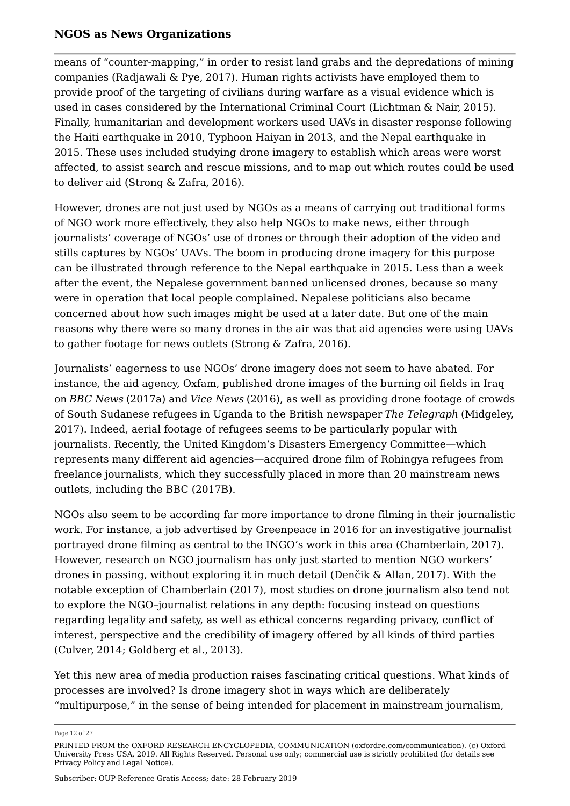means of "counter-mapping," in order to resist land grabs and the depredations of mining companies (Radjawali & Pye, 2017). Human rights activists have employed them to provide proof of the targeting of civilians during warfare as a visual evidence which is used in cases considered by the International Criminal Court (Lichtman & Nair, 2015). Finally, humanitarian and development workers used UAVs in disaster response following the Haiti earthquake in 2010, Typhoon Haiyan in 2013, and the Nepal earthquake in 2015. These uses included studying drone imagery to establish which areas were worst affected, to assist search and rescue missions, and to map out which routes could be used to deliver aid (Strong & Zafra, 2016).

However, drones are not just used by NGOs as a means of carrying out traditional forms of NGO work more effectively, they also help NGOs to make news, either through journalists' coverage of NGOs' use of drones or through their adoption of the video and stills captures by NGOs' UAVs. The boom in producing drone imagery for this purpose can be illustrated through reference to the Nepal earthquake in 2015. Less than a week after the event, the Nepalese government banned unlicensed drones, because so many were in operation that local people complained. Nepalese politicians also became concerned about how such images might be used at a later date. But one of the main reasons why there were so many drones in the air was that aid agencies were using UAVs to gather footage for news outlets (Strong & Zafra, 2016).

Journalists' eagerness to use NGOs' drone imagery does not seem to have abated. For instance, the aid agency, Oxfam, published drone images of the burning oil fields in Iraq on *BBC News* (2017a) and *Vice News* (2016), as well as providing drone footage of crowds of South Sudanese refugees in Uganda to the British newspaper *The Telegraph* (Midgeley, 2017). Indeed, aerial footage of refugees seems to be particularly popular with journalists. Recently, the United Kingdom's Disasters Emergency Committee—which represents many different aid agencies—acquired drone film of Rohingya refugees from freelance journalists, which they successfully placed in more than 20 mainstream news outlets, including the BBC (2017B).

NGOs also seem to be according far more importance to drone filming in their journalistic work. For instance, a job advertised by Greenpeace in 2016 for an investigative journalist portrayed drone filming as central to the INGO's work in this area (Chamberlain, 2017). However, research on NGO journalism has only just started to mention NGO workers' drones in passing, without exploring it in much detail (Denčik & Allan, 2017). With the notable exception of Chamberlain (2017), most studies on drone journalism also tend not to explore the NGO–journalist relations in any depth: focusing instead on questions regarding legality and safety, as well as ethical concerns regarding privacy, conflict of interest, perspective and the credibility of imagery offered by all kinds of third parties (Culver, 2014; Goldberg et al., 2013).

Yet this new area of media production raises fascinating critical questions. What kinds of processes are involved? Is drone imagery shot in ways which are deliberately "multipurpose," in the sense of being intended for placement in mainstream journalism,

Page 12 of 27

PRINTED FROM the OXFORD RESEARCH ENCYCLOPEDIA, COMMUNICATION (oxfordre.com/communication). (c) Oxford University Press USA, 2019. All Rights Reserved. Personal use only; commercial use is strictly prohibited (for details see Privacy Policy and Legal Notice).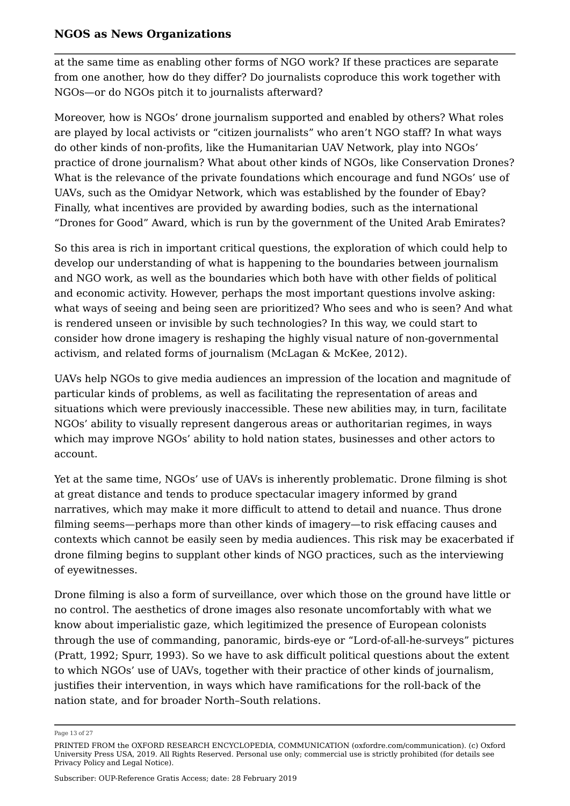at the same time as enabling other forms of NGO work? If these practices are separate from one another, how do they differ? Do journalists coproduce this work together with NGOs—or do NGOs pitch it to journalists afterward?

Moreover, how is NGOs' drone journalism supported and enabled by others? What roles are played by local activists or "citizen journalists" who aren't NGO staff? In what ways do other kinds of non-profits, like the Humanitarian UAV Network, play into NGOs' practice of drone journalism? What about other kinds of NGOs, like Conservation Drones? What is the relevance of the private foundations which encourage and fund NGOs' use of UAVs, such as the Omidyar Network, which was established by the founder of Ebay? Finally, what incentives are provided by awarding bodies, such as the international "Drones for Good" Award, which is run by the government of the United Arab Emirates?

So this area is rich in important critical questions, the exploration of which could help to develop our understanding of what is happening to the boundaries between journalism and NGO work, as well as the boundaries which both have with other fields of political and economic activity. However, perhaps the most important questions involve asking: what ways of seeing and being seen are prioritized? Who sees and who is seen? And what is rendered unseen or invisible by such technologies? In this way, we could start to consider how drone imagery is reshaping the highly visual nature of non-governmental activism, and related forms of journalism (McLagan & McKee, 2012).

UAVs help NGOs to give media audiences an impression of the location and magnitude of particular kinds of problems, as well as facilitating the representation of areas and situations which were previously inaccessible. These new abilities may, in turn, facilitate NGOs' ability to visually represent dangerous areas or authoritarian regimes, in ways which may improve NGOs' ability to hold nation states, businesses and other actors to account.

Yet at the same time, NGOs' use of UAVs is inherently problematic. Drone filming is shot at great distance and tends to produce spectacular imagery informed by grand narratives, which may make it more difficult to attend to detail and nuance. Thus drone filming seems—perhaps more than other kinds of imagery—to risk effacing causes and contexts which cannot be easily seen by media audiences. This risk may be exacerbated if drone filming begins to supplant other kinds of NGO practices, such as the interviewing of eyewitnesses.

Drone filming is also a form of surveillance, over which those on the ground have little or no control. The aesthetics of drone images also resonate uncomfortably with what we know about imperialistic gaze, which legitimized the presence of European colonists through the use of commanding, panoramic, birds-eye or "Lord-of-all-he-surveys" pictures (Pratt, 1992; Spurr, 1993). So we have to ask difficult political questions about the extent to which NGOs' use of UAVs, together with their practice of other kinds of journalism, justifies their intervention, in ways which have ramifications for the roll-back of the nation state, and for broader North–South relations.

Page 13 of 27

PRINTED FROM the OXFORD RESEARCH ENCYCLOPEDIA, COMMUNICATION (oxfordre.com/communication). (c) Oxford University Press USA, 2019. All Rights Reserved. Personal use only; commercial use is strictly prohibited (for details see Privacy Policy and Legal Notice).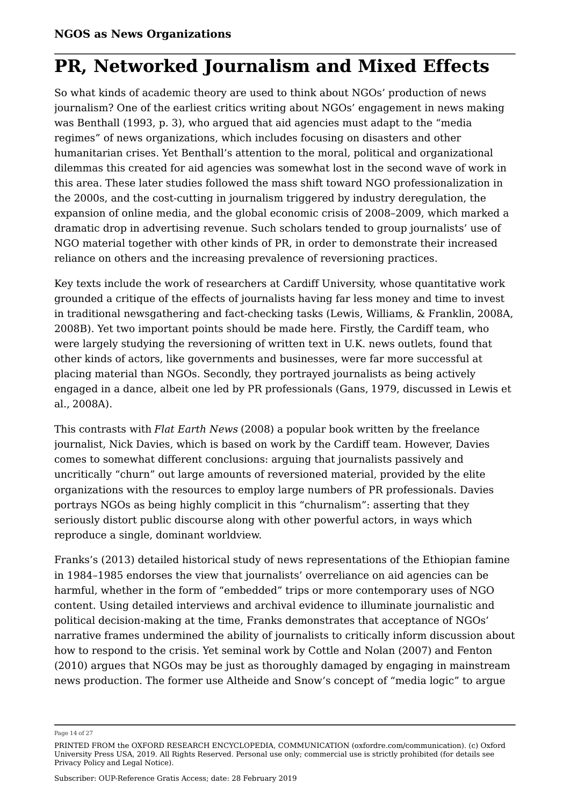## **PR, Networked Journalism and Mixed Effects**

So what kinds of academic theory are used to think about NGOs' production of news journalism? One of the earliest critics writing about NGOs' engagement in news making was Benthall (1993, p. 3), who argued that aid agencies must adapt to the "media regimes" of news organizations, which includes focusing on disasters and other humanitarian crises. Yet Benthall's attention to the moral, political and organizational dilemmas this created for aid agencies was somewhat lost in the second wave of work in this area. These later studies followed the mass shift toward NGO professionalization in the 2000s, and the cost-cutting in journalism triggered by industry deregulation, the expansion of online media, and the global economic crisis of 2008–2009, which marked a dramatic drop in advertising revenue. Such scholars tended to group journalists' use of NGO material together with other kinds of PR, in order to demonstrate their increased reliance on others and the increasing prevalence of reversioning practices.

Key texts include the work of researchers at Cardiff University, whose quantitative work grounded a critique of the effects of journalists having far less money and time to invest in traditional newsgathering and fact-checking tasks (Lewis, Williams, & Franklin, 2008A, 2008B). Yet two important points should be made here. Firstly, the Cardiff team, who were largely studying the reversioning of written text in U.K. news outlets, found that other kinds of actors, like governments and businesses, were far more successful at placing material than NGOs. Secondly, they portrayed journalists as being actively engaged in a dance, albeit one led by PR professionals (Gans, 1979, discussed in Lewis et al., 2008A).

This contrasts with *Flat Earth News* (2008) a popular book written by the freelance journalist, Nick Davies, which is based on work by the Cardiff team. However, Davies comes to somewhat different conclusions: arguing that journalists passively and uncritically "churn" out large amounts of reversioned material, provided by the elite organizations with the resources to employ large numbers of PR professionals. Davies portrays NGOs as being highly complicit in this "churnalism": asserting that they seriously distort public discourse along with other powerful actors, in ways which reproduce a single, dominant worldview.

Franks's (2013) detailed historical study of news representations of the Ethiopian famine in 1984–1985 endorses the view that journalists' overreliance on aid agencies can be harmful, whether in the form of "embedded" trips or more contemporary uses of NGO content. Using detailed interviews and archival evidence to illuminate journalistic and political decision-making at the time, Franks demonstrates that acceptance of NGOs' narrative frames undermined the ability of journalists to critically inform discussion about how to respond to the crisis. Yet seminal work by Cottle and Nolan (2007) and Fenton (2010) argues that NGOs may be just as thoroughly damaged by engaging in mainstream news production. The former use Altheide and Snow's concept of "media logic" to argue

Page 14 of 27

PRINTED FROM the OXFORD RESEARCH ENCYCLOPEDIA, COMMUNICATION (oxfordre.com/communication). (c) Oxford University Press USA, 2019. All Rights Reserved. Personal use only; commercial use is strictly prohibited (for details see Privacy Policy and Legal Notice).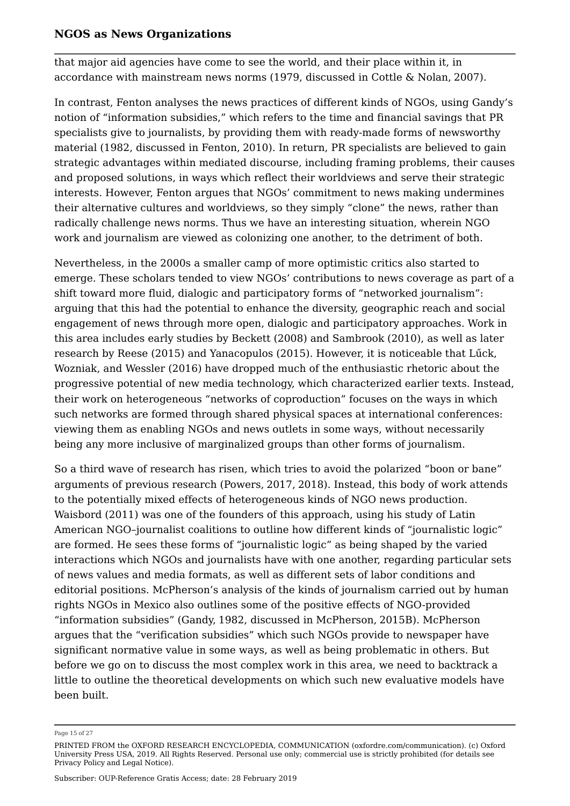that major aid agencies have come to see the world, and their place within it, in accordance with mainstream news norms (1979, discussed in Cottle & Nolan, 2007).

In contrast, Fenton analyses the news practices of different kinds of NGOs, using Gandy's notion of "information subsidies," which refers to the time and financial savings that PR specialists give to journalists, by providing them with ready-made forms of newsworthy material (1982, discussed in Fenton, 2010). In return, PR specialists are believed to gain strategic advantages within mediated discourse, including framing problems, their causes and proposed solutions, in ways which reflect their worldviews and serve their strategic interests. However, Fenton argues that NGOs' commitment to news making undermines their alternative cultures and worldviews, so they simply "clone" the news, rather than radically challenge news norms. Thus we have an interesting situation, wherein NGO work and journalism are viewed as colonizing one another, to the detriment of both.

Nevertheless, in the 2000s a smaller camp of more optimistic critics also started to emerge. These scholars tended to view NGOs' contributions to news coverage as part of a shift toward more fluid, dialogic and participatory forms of "networked journalism": arguing that this had the potential to enhance the diversity, geographic reach and social engagement of news through more open, dialogic and participatory approaches. Work in this area includes early studies by Beckett (2008) and Sambrook (2010), as well as later research by Reese (2015) and Yanacopulos (2015). However, it is noticeable that Lűck, Wozniak, and Wessler (2016) have dropped much of the enthusiastic rhetoric about the progressive potential of new media technology, which characterized earlier texts. Instead, their work on heterogeneous "networks of coproduction" focuses on the ways in which such networks are formed through shared physical spaces at international conferences: viewing them as enabling NGOs and news outlets in some ways, without necessarily being any more inclusive of marginalized groups than other forms of journalism.

So a third wave of research has risen, which tries to avoid the polarized "boon or bane" arguments of previous research (Powers, 2017, 2018). Instead, this body of work attends to the potentially mixed effects of heterogeneous kinds of NGO news production. Waisbord (2011) was one of the founders of this approach, using his study of Latin American NGO–journalist coalitions to outline how different kinds of "journalistic logic" are formed. He sees these forms of "journalistic logic" as being shaped by the varied interactions which NGOs and journalists have with one another, regarding particular sets of news values and media formats, as well as different sets of labor conditions and editorial positions. McPherson's analysis of the kinds of journalism carried out by human rights NGOs in Mexico also outlines some of the positive effects of NGO-provided "information subsidies" (Gandy, 1982, discussed in McPherson, 2015B). McPherson argues that the "verification subsidies" which such NGOs provide to newspaper have significant normative value in some ways, as well as being problematic in others. But before we go on to discuss the most complex work in this area, we need to backtrack a little to outline the theoretical developments on which such new evaluative models have been built.

Page 15 of 27

PRINTED FROM the OXFORD RESEARCH ENCYCLOPEDIA, COMMUNICATION (oxfordre.com/communication). (c) Oxford University Press USA, 2019. All Rights Reserved. Personal use only; commercial use is strictly prohibited (for details see Privacy Policy and Legal Notice).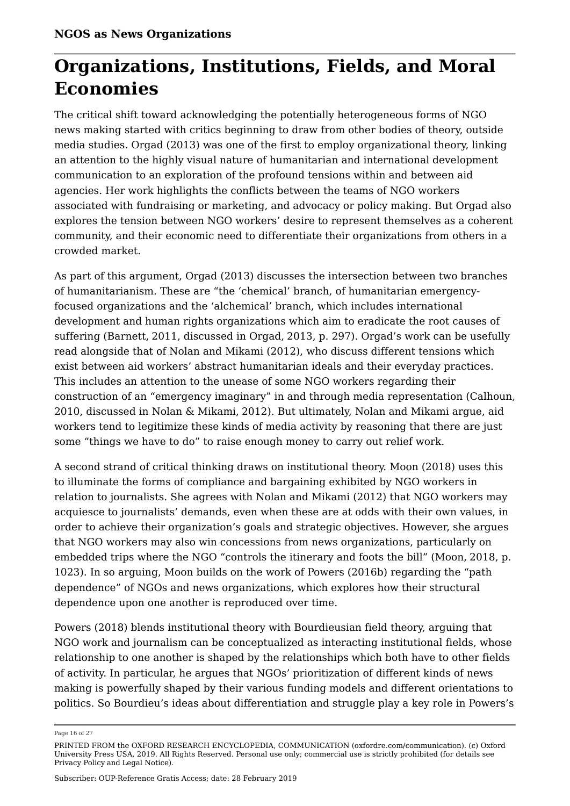# **Organizations, Institutions, Fields, and Moral Economies**

The critical shift toward acknowledging the potentially heterogeneous forms of NGO news making started with critics beginning to draw from other bodies of theory, outside media studies. Orgad (2013) was one of the first to employ organizational theory, linking an attention to the highly visual nature of humanitarian and international development communication to an exploration of the profound tensions within and between aid agencies. Her work highlights the conflicts between the teams of NGO workers associated with fundraising or marketing, and advocacy or policy making. But Orgad also explores the tension between NGO workers' desire to represent themselves as a coherent community, and their economic need to differentiate their organizations from others in a crowded market.

As part of this argument, Orgad (2013) discusses the intersection between two branches of humanitarianism. These are "the 'chemical' branch, of humanitarian emergencyfocused organizations and the 'alchemical' branch, which includes international development and human rights organizations which aim to eradicate the root causes of suffering (Barnett, 2011, discussed in Orgad, 2013, p. 297). Orgad's work can be usefully read alongside that of Nolan and Mikami (2012), who discuss different tensions which exist between aid workers' abstract humanitarian ideals and their everyday practices. This includes an attention to the unease of some NGO workers regarding their construction of an "emergency imaginary" in and through media representation (Calhoun, 2010, discussed in Nolan & Mikami, 2012). But ultimately, Nolan and Mikami argue, aid workers tend to legitimize these kinds of media activity by reasoning that there are just some "things we have to do" to raise enough money to carry out relief work.

A second strand of critical thinking draws on institutional theory. Moon (2018) uses this to illuminate the forms of compliance and bargaining exhibited by NGO workers in relation to journalists. She agrees with Nolan and Mikami (2012) that NGO workers may acquiesce to journalists' demands, even when these are at odds with their own values, in order to achieve their organization's goals and strategic objectives. However, she argues that NGO workers may also win concessions from news organizations, particularly on embedded trips where the NGO "controls the itinerary and foots the bill" (Moon, 2018, p. 1023). In so arguing, Moon builds on the work of Powers (2016b) regarding the "path dependence" of NGOs and news organizations, which explores how their structural dependence upon one another is reproduced over time.

Powers (2018) blends institutional theory with Bourdieusian field theory, arguing that NGO work and journalism can be conceptualized as interacting institutional fields, whose relationship to one another is shaped by the relationships which both have to other fields of activity. In particular, he argues that NGOs' prioritization of different kinds of news making is powerfully shaped by their various funding models and different orientations to politics. So Bourdieu's ideas about differentiation and struggle play a key role in Powers's

Page 16 of 27

PRINTED FROM the OXFORD RESEARCH ENCYCLOPEDIA, COMMUNICATION (oxfordre.com/communication). (c) Oxford University Press USA, 2019. All Rights Reserved. Personal use only; commercial use is strictly prohibited (for details see Privacy Policy and Legal Notice).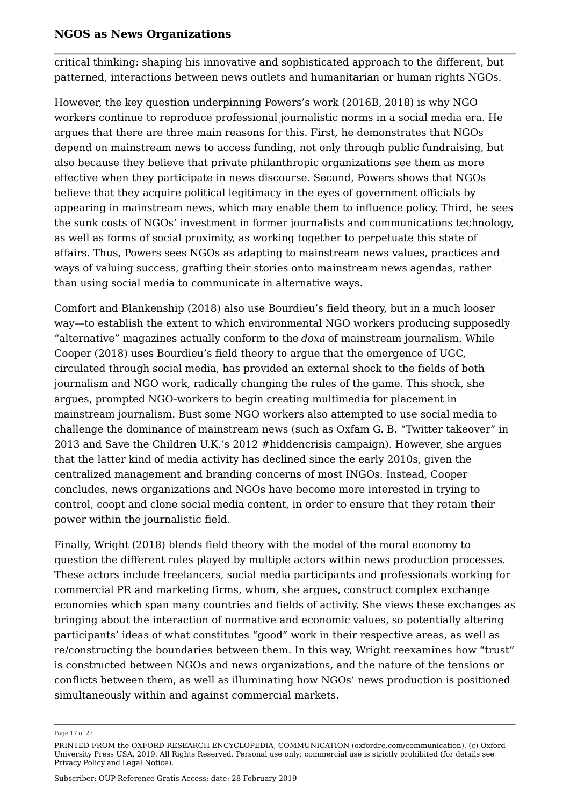critical thinking: shaping his innovative and sophisticated approach to the different, but patterned, interactions between news outlets and humanitarian or human rights NGOs.

However, the key question underpinning Powers's work (2016B, 2018) is why NGO workers continue to reproduce professional journalistic norms in a social media era. He argues that there are three main reasons for this. First, he demonstrates that NGOs depend on mainstream news to access funding, not only through public fundraising, but also because they believe that private philanthropic organizations see them as more effective when they participate in news discourse. Second, Powers shows that NGOs believe that they acquire political legitimacy in the eyes of government officials by appearing in mainstream news, which may enable them to influence policy. Third, he sees the sunk costs of NGOs' investment in former journalists and communications technology, as well as forms of social proximity, as working together to perpetuate this state of affairs. Thus, Powers sees NGOs as adapting to mainstream news values, practices and ways of valuing success, grafting their stories onto mainstream news agendas, rather than using social media to communicate in alternative ways.

Comfort and Blankenship (2018) also use Bourdieu's field theory, but in a much looser way—to establish the extent to which environmental NGO workers producing supposedly "alternative" magazines actually conform to the *doxa* of mainstream journalism. While Cooper (2018) uses Bourdieu's field theory to argue that the emergence of UGC, circulated through social media, has provided an external shock to the fields of both journalism and NGO work, radically changing the rules of the game. This shock, she argues, prompted NGO-workers to begin creating multimedia for placement in mainstream journalism. Bust some NGO workers also attempted to use social media to challenge the dominance of mainstream news (such as Oxfam G. B. "Twitter takeover" in 2013 and Save the Children U.K.'s 2012 #hiddencrisis campaign). However, she argues that the latter kind of media activity has declined since the early 2010s, given the centralized management and branding concerns of most INGOs. Instead, Cooper concludes, news organizations and NGOs have become more interested in trying to control, coopt and clone social media content, in order to ensure that they retain their power within the journalistic field.

Finally, Wright (2018) blends field theory with the model of the moral economy to question the different roles played by multiple actors within news production processes. These actors include freelancers, social media participants and professionals working for commercial PR and marketing firms, whom, she argues, construct complex exchange economies which span many countries and fields of activity. She views these exchanges as bringing about the interaction of normative and economic values, so potentially altering participants' ideas of what constitutes "good" work in their respective areas, as well as re/constructing the boundaries between them. In this way, Wright reexamines how "trust" is constructed between NGOs and news organizations, and the nature of the tensions or conflicts between them, as well as illuminating how NGOs' news production is positioned simultaneously within and against commercial markets.

Page 17 of 27

PRINTED FROM the OXFORD RESEARCH ENCYCLOPEDIA, COMMUNICATION (oxfordre.com/communication). (c) Oxford University Press USA, 2019. All Rights Reserved. Personal use only; commercial use is strictly prohibited (for details see Privacy Policy and Legal Notice).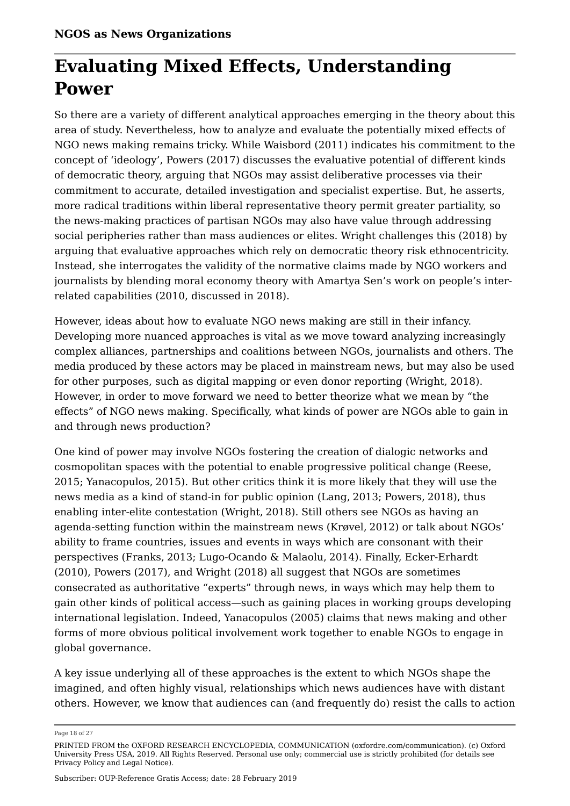# **Evaluating Mixed Effects, Understanding Power**

So there are a variety of different analytical approaches emerging in the theory about this area of study. Nevertheless, how to analyze and evaluate the potentially mixed effects of NGO news making remains tricky. While Waisbord (2011) indicates his commitment to the concept of 'ideology', Powers (2017) discusses the evaluative potential of different kinds of democratic theory, arguing that NGOs may assist deliberative processes via their commitment to accurate, detailed investigation and specialist expertise. But, he asserts, more radical traditions within liberal representative theory permit greater partiality, so the news-making practices of partisan NGOs may also have value through addressing social peripheries rather than mass audiences or elites. Wright challenges this (2018) by arguing that evaluative approaches which rely on democratic theory risk ethnocentricity. Instead, she interrogates the validity of the normative claims made by NGO workers and journalists by blending moral economy theory with Amartya Sen's work on people's interrelated capabilities (2010, discussed in 2018).

However, ideas about how to evaluate NGO news making are still in their infancy. Developing more nuanced approaches is vital as we move toward analyzing increasingly complex alliances, partnerships and coalitions between NGOs, journalists and others. The media produced by these actors may be placed in mainstream news, but may also be used for other purposes, such as digital mapping or even donor reporting (Wright, 2018). However, in order to move forward we need to better theorize what we mean by "the effects" of NGO news making. Specifically, what kinds of power are NGOs able to gain in and through news production?

One kind of power may involve NGOs fostering the creation of dialogic networks and cosmopolitan spaces with the potential to enable progressive political change (Reese, 2015; Yanacopulos, 2015). But other critics think it is more likely that they will use the news media as a kind of stand-in for public opinion (Lang, 2013; Powers, 2018), thus enabling inter-elite contestation (Wright, 2018). Still others see NGOs as having an agenda-setting function within the mainstream news (Krøvel, 2012) or talk about NGOs' ability to frame countries, issues and events in ways which are consonant with their perspectives (Franks, 2013; Lugo-Ocando & Malaolu, 2014). Finally, Ecker-Erhardt (2010), Powers (2017), and Wright (2018) all suggest that NGOs are sometimes consecrated as authoritative "experts" through news, in ways which may help them to gain other kinds of political access—such as gaining places in working groups developing international legislation. Indeed, Yanacopulos (2005) claims that news making and other forms of more obvious political involvement work together to enable NGOs to engage in global governance.

A key issue underlying all of these approaches is the extent to which NGOs shape the imagined, and often highly visual, relationships which news audiences have with distant others. However, we know that audiences can (and frequently do) resist the calls to action

Page 18 of 27

PRINTED FROM the OXFORD RESEARCH ENCYCLOPEDIA, COMMUNICATION (oxfordre.com/communication). (c) Oxford University Press USA, 2019. All Rights Reserved. Personal use only; commercial use is strictly prohibited (for details see Privacy Policy and Legal Notice).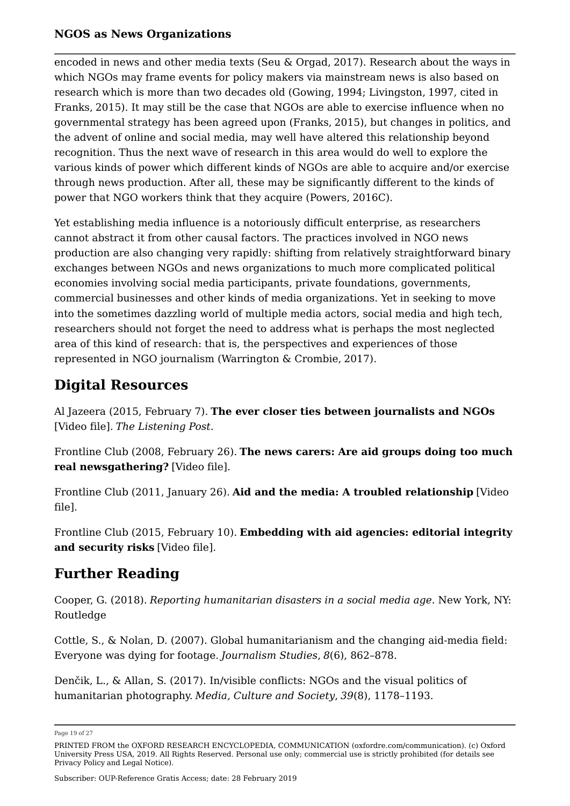encoded in news and other media texts (Seu & Orgad, 2017). Research about the ways in which NGOs may frame events for policy makers via mainstream news is also based on research which is more than two decades old (Gowing, 1994; Livingston, 1997, cited in Franks, 2015). It may still be the case that NGOs are able to exercise influence when no governmental strategy has been agreed upon (Franks, 2015), but changes in politics, and the advent of online and social media, may well have altered this relationship beyond recognition. Thus the next wave of research in this area would do well to explore the various kinds of power which different kinds of NGOs are able to acquire and/or exercise through news production. After all, these may be significantly different to the kinds of power that NGO workers think that they acquire (Powers, 2016C).

Yet establishing media influence is a notoriously difficult enterprise, as researchers cannot abstract it from other causal factors. The practices involved in NGO news production are also changing very rapidly: shifting from relatively straightforward binary exchanges between NGOs and news organizations to much more complicated political economies involving social media participants, private foundations, governments, commercial businesses and other kinds of media organizations. Yet in seeking to move into the sometimes dazzling world of multiple media actors, social media and high tech, researchers should not forget the need to address what is perhaps the most neglected area of this kind of research: that is, the perspectives and experiences of those represented in NGO journalism (Warrington & Crombie, 2017).

### **Digital Resources**

Al Jazeera (2015, February 7). **The ever closer ties between journalists and NGOs** [Video file]. *The Listening Post*.

Frontline Club (2008, February 26). **The news carers: Are aid groups doing too much real newsgathering?** [Video file].

Frontline Club (2011, January 26). **Aid and the media: A troubled relationship** [Video file].

Frontline Club (2015, February 10). **Embedding with aid agencies: editorial integrity and security risks** [Video file].

### **Further Reading**

Cooper, G. (2018). *Reporting humanitarian disasters in a social media age*. New York, NY: Routledge

Cottle, S., & Nolan, D. (2007). Global humanitarianism and the changing aid-media field: Everyone was dying for footage. *Journalism Studies*, *8*(6), 862–878.

Denčik, L., & Allan, S. (2017). In/visible conflicts: NGOs and the visual politics of humanitarian photography. *Media, Culture and Society*, *39*(8), 1178–1193.

Subscriber: OUP-Reference Gratis Access; date: 28 February 2019

Page 19 of 27

PRINTED FROM the OXFORD RESEARCH ENCYCLOPEDIA, COMMUNICATION (oxfordre.com/communication). (c) Oxford University Press USA, 2019. All Rights Reserved. Personal use only; commercial use is strictly prohibited (for details see Privacy Policy and Legal Notice).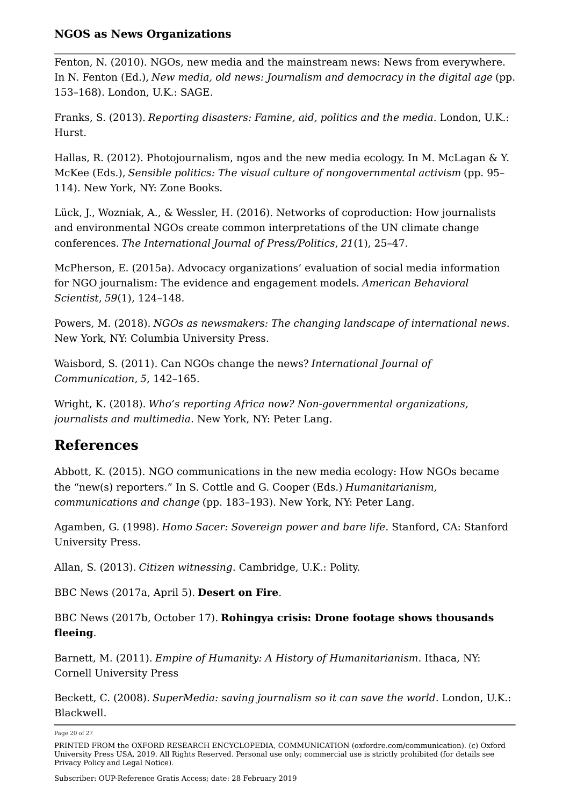Fenton, N. (2010). NGOs, new media and the mainstream news: News from everywhere. In N. Fenton (Ed.), *New media, old news: Journalism and democracy in the digital age* (pp. 153–168). London, U.K.: SAGE.

Franks, S. (2013). *Reporting disasters: Famine, aid, politics and the media*. London, U.K.: Hurst.

Hallas, R. (2012). Photojournalism, ngos and the new media ecology. In M. McLagan & Y. McKee (Eds.), *Sensible politics: The visual culture of nongovernmental activism* (pp. 95– 114). New York, NY: Zone Books.

Lück, J., Wozniak, A., & Wessler, H. (2016). Networks of coproduction: How journalists and environmental NGOs create common interpretations of the UN climate change conferences. *The International Journal of Press/Politics*, *21*(1), 25–47.

McPherson, E. (2015a). Advocacy organizations' evaluation of social media information for NGO journalism: The evidence and engagement models. *American Behavioral Scientist*, *59*(1), 124–148.

Powers, M. (2018). *NGOs as newsmakers: The changing landscape of international news*. New York, NY: Columbia University Press.

Waisbord, S. (2011). Can NGOs change the news? *International Journal of Communication*, *5*, 142–165.

Wright, K. (2018). *Who's reporting Africa now? Non-governmental organizations, journalists and multimedia*. New York, NY: Peter Lang.

### **References**

Abbott, K. (2015). NGO communications in the new media ecology: How NGOs became the "new(s) reporters." In S. Cottle and G. Cooper (Eds.) *Humanitarianism, communications and change* (pp. 183–193). New York, NY: Peter Lang.

Agamben, G. (1998). *Homo Sacer: Sovereign power and bare life*. Stanford, CA: Stanford University Press.

Allan, S. (2013). *Citizen witnessing*. Cambridge, U.K.: Polity.

BBC News (2017a, April 5). **Desert on Fire**.

BBC News (2017b, October 17). **Rohingya crisis: Drone footage shows thousands fleeing**.

Barnett, M. (2011). *Empire of Humanity: A History of Humanitarianism*. Ithaca, NY: Cornell University Press

Beckett, C. (2008). *SuperMedia: saving journalism so it can save the world*. London, U.K.: Blackwell.

Page 20 of 27

PRINTED FROM the OXFORD RESEARCH ENCYCLOPEDIA, COMMUNICATION (oxfordre.com/communication). (c) Oxford University Press USA, 2019. All Rights Reserved. Personal use only; commercial use is strictly prohibited (for details see Privacy Policy and Legal Notice).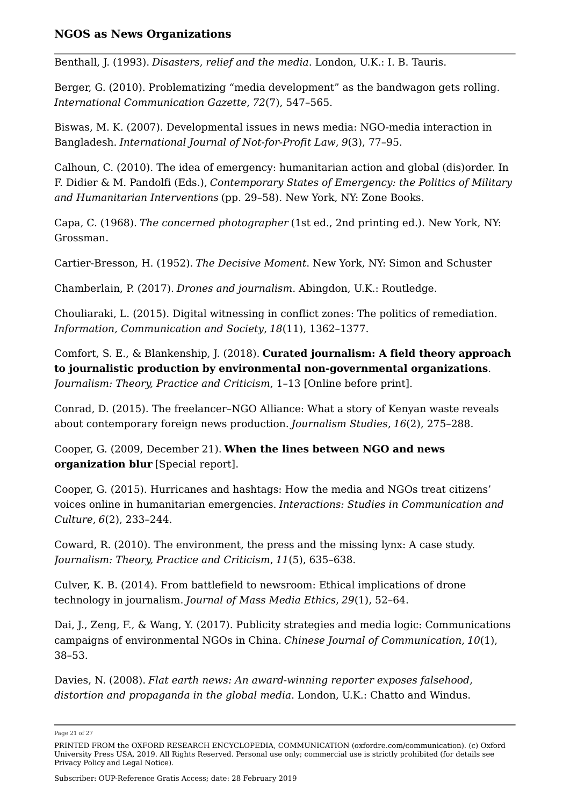Benthall, J. (1993). *Disasters, relief and the media*. London, U.K.: I. B. Tauris.

Berger, G. (2010). Problematizing "media development" as the bandwagon gets rolling. *International Communication Gazette*, *72*(7), 547–565.

Biswas, M. K. (2007). Developmental issues in news media: NGO-media interaction in Bangladesh. *International Journal of Not-for-Profit Law*, *9*(3), 77–95.

Calhoun, C. (2010). The idea of emergency: humanitarian action and global (dis)order. In F. Didier & M. Pandolfi (Eds.), *Contemporary States of Emergency: the Politics of Military and Humanitarian Interventions* (pp. 29–58). New York, NY: Zone Books.

Capa, C. (1968). *The concerned photographer* (1st ed., 2nd printing ed.). New York, NY: Grossman.

Cartier-Bresson, H. (1952). *The Decisive Moment*. New York, NY: Simon and Schuster

Chamberlain, P. (2017). *Drones and journalism*. Abingdon, U.K.: Routledge.

Chouliaraki, L. (2015). Digital witnessing in conflict zones: The politics of remediation. *Information, Communication and Society*, *18*(11), 1362–1377.

Comfort, S. E., & Blankenship, J. (2018). **Curated journalism: A field theory approach to journalistic production by environmental non-governmental organizations***. Journalism: Theory, Practice and Criticism*, 1–13 [Online before print].

Conrad, D. (2015). The freelancer–NGO Alliance: What a story of Kenyan waste reveals about contemporary foreign news production. *Journalism Studies*, *16*(2), 275–288.

Cooper, G. (2009, December 21). **When the lines between NGO and news organization blur** [Special report].

Cooper, G. (2015). Hurricanes and hashtags: How the media and NGOs treat citizens' voices online in humanitarian emergencies. *Interactions: Studies in Communication and Culture*, *6*(2), 233–244.

Coward, R. (2010). The environment, the press and the missing lynx: A case study. *Journalism: Theory, Practice and Criticism*, *11*(5), 635–638.

Culver, K. B. (2014). From battlefield to newsroom: Ethical implications of drone technology in journalism. *Journal of Mass Media Ethics*, *29*(1), 52–64.

Dai, J., Zeng, F., & Wang, Y. (2017). Publicity strategies and media logic: Communications campaigns of environmental NGOs in China. *Chinese Journal of Communication*, *10*(1), 38–53.

Davies, N. (2008). *Flat earth news: An award-winning reporter exposes falsehood, distortion and propaganda in the global media*. London, U.K.: Chatto and Windus.

Page 21 of 27

Subscriber: OUP-Reference Gratis Access; date: 28 February 2019

PRINTED FROM the OXFORD RESEARCH ENCYCLOPEDIA, COMMUNICATION (oxfordre.com/communication). (c) Oxford University Press USA, 2019. All Rights Reserved. Personal use only; commercial use is strictly prohibited (for details see Privacy Policy and Legal Notice).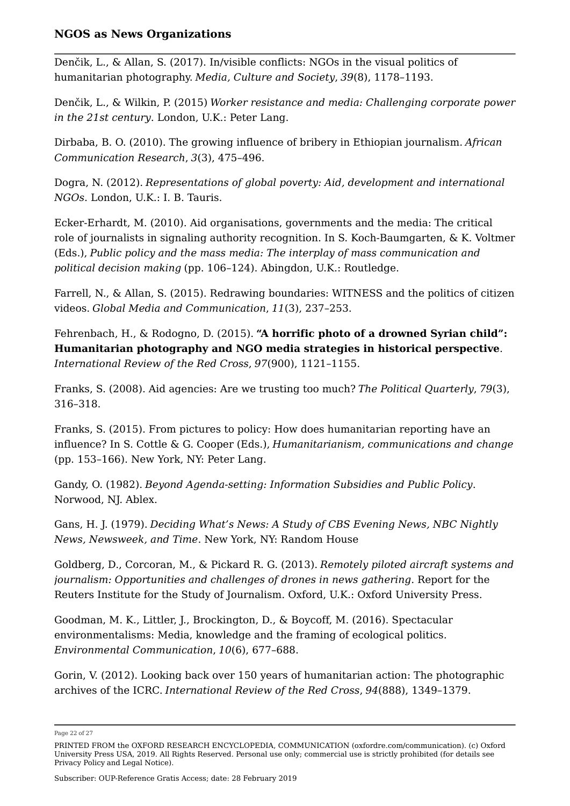Denčik, L., & Allan, S. (2017). In/visible conflicts: NGOs in the visual politics of humanitarian photography. *Media, Culture and Society*, *39*(8), 1178–1193.

Denčik, L., & Wilkin, P. (2015) *Worker resistance and media: Challenging corporate power in the 21st century*. London, U.K.: Peter Lang.

Dirbaba, B. O. (2010). The growing influence of bribery in Ethiopian journalism. *African Communication Research*, *3*(3), 475–496.

Dogra, N. (2012). *Representations of global poverty: Aid, development and international NGOs*. London, U.K.: I. B. Tauris.

Ecker-Erhardt, M. (2010). Aid organisations, governments and the media: The critical role of journalists in signaling authority recognition. In S. Koch-Baumgarten, & K. Voltmer (Eds.), *Public policy and the mass media: The interplay of mass communication and political decision making* (pp. 106–124). Abingdon, U.K.: Routledge.

Farrell, N., & Allan, S. (2015). Redrawing boundaries: WITNESS and the politics of citizen videos. *Global Media and Communication*, *11*(3), 237–253.

Fehrenbach, H., & Rodogno, D. (2015). **"A horrific photo of a drowned Syrian child": Humanitarian photography and NGO media strategies in historical perspective**. *International Review of the Red Cross*, *97*(900), 1121–1155.

Franks, S. (2008). Aid agencies: Are we trusting too much? *The Political Quarterly*, *79*(3), 316–318.

Franks, S. (2015). From pictures to policy: How does humanitarian reporting have an influence? In S. Cottle & G. Cooper (Eds.), *Humanitarianism, communications and change* (pp. 153–166). New York, NY: Peter Lang.

Gandy, O. (1982). *Beyond Agenda-setting: Information Subsidies and Public Policy*. Norwood, NJ. Ablex.

Gans, H. J. (1979). *Deciding What's News: A Study of CBS Evening News, NBC Nightly News, Newsweek, and Time*. New York, NY: Random House

Goldberg, D., Corcoran, M., & Pickard R. G. (2013). *Remotely piloted aircraft systems and journalism: Opportunities and challenges of drones in news gathering*. Report for the Reuters Institute for the Study of Journalism. Oxford, U.K.: Oxford University Press.

Goodman, M. K., Littler, J., Brockington, D., & Boycoff, M. (2016). Spectacular environmentalisms: Media, knowledge and the framing of ecological politics*. Environmental Communication*, *10*(6), 677–688.

Gorin, V. (2012). Looking back over 150 years of humanitarian action: The photographic archives of the ICRC. *International Review of the Red Cross*, *94*(888), 1349–1379.

Page 22 of 27

PRINTED FROM the OXFORD RESEARCH ENCYCLOPEDIA, COMMUNICATION (oxfordre.com/communication). (c) Oxford University Press USA, 2019. All Rights Reserved. Personal use only; commercial use is strictly prohibited (for details see Privacy Policy and Legal Notice).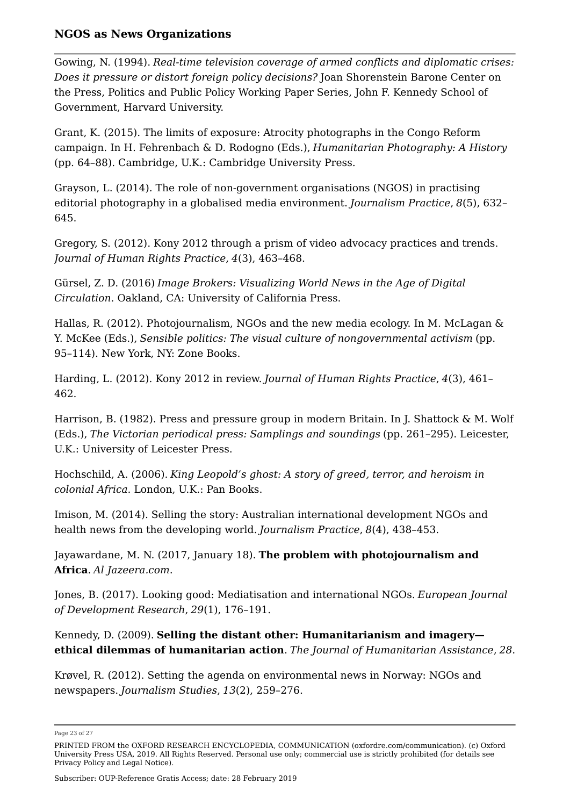Gowing, N. (1994). *Real-time television coverage of armed conflicts and diplomatic crises: Does it pressure or distort foreign policy decisions?* Joan Shorenstein Barone Center on the Press, Politics and Public Policy Working Paper Series, John F. Kennedy School of Government, Harvard University.

Grant, K. (2015). The limits of exposure: Atrocity photographs in the Congo Reform campaign. In H. Fehrenbach & D. Rodogno (Eds.), *Humanitarian Photography: A History* (pp. 64–88). Cambridge, U.K.: Cambridge University Press.

Grayson, L. (2014). The role of non-government organisations (NGOS) in practising editorial photography in a globalised media environment. *Journalism Practice*, *8*(5), 632– 645.

Gregory, S. (2012). Kony 2012 through a prism of video advocacy practices and trends. *Journal of Human Rights Practice*, *4*(3), 463–468.

Gürsel, Z. D. (2016) *Image Brokers: Visualizing World News in the Age of Digital Circulation*. Oakland, CA: University of California Press.

Hallas, R. (2012). Photojournalism, NGOs and the new media ecology. In M. McLagan & Y. McKee (Eds.), *Sensible politics: The visual culture of nongovernmental activism* (pp. 95–114). New York, NY: Zone Books.

Harding, L. (2012). Kony 2012 in review. *Journal of Human Rights Practice*, *4*(3), 461– 462.

Harrison, B. (1982). Press and pressure group in modern Britain. In J. Shattock & M. Wolf (Eds.), *The Victorian periodical press: Samplings and soundings* (pp. 261–295). Leicester, U.K.: University of Leicester Press.

Hochschild, A. (2006). *King Leopold's ghost: A story of greed, terror, and heroism in colonial Africa*. London, U.K.: Pan Books.

Imison, M. (2014). Selling the story: Australian international development NGOs and health news from the developing world. *Journalism Practice*, *8*(4), 438–453.

Jayawardane, M. N. (2017, January 18). **The problem with photojournalism and Africa**. *Al Jazeera.com*.

Jones, B. (2017). Looking good: Mediatisation and international NGOs. *European Journal of Development Research*, *29*(1), 176–191.

### Kennedy, D. (2009). **Selling the distant other: Humanitarianism and imagery ethical dilemmas of humanitarian action**. *The Journal of Humanitarian Assistance*, *28*.

Krøvel, R. (2012). Setting the agenda on environmental news in Norway: NGOs and newspapers. *Journalism Studies*, *13*(2), 259–276.

Page 23 of 27

PRINTED FROM the OXFORD RESEARCH ENCYCLOPEDIA, COMMUNICATION (oxfordre.com/communication). (c) Oxford University Press USA, 2019. All Rights Reserved. Personal use only; commercial use is strictly prohibited (for details see Privacy Policy and Legal Notice).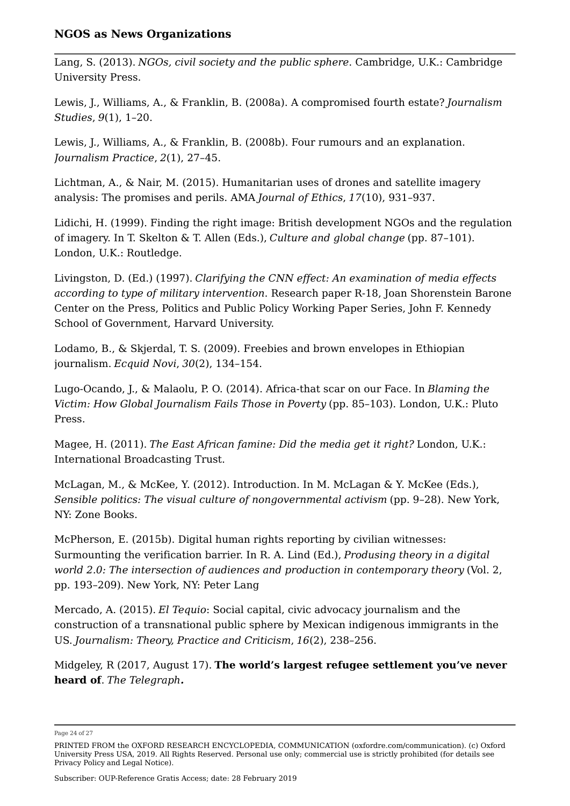Lang, S. (2013). *NGOs, civil society and the public sphere*. Cambridge, U.K.: Cambridge University Press.

Lewis, J., Williams, A., & Franklin, B. (2008a). A compromised fourth estate? *Journalism Studies*, *9*(1), 1–20.

Lewis, J., Williams, A., & Franklin, B. (2008b). Four rumours and an explanation. *Journalism Practice*, *2*(1), 27–45.

Lichtman, A., & Nair, M. (2015). Humanitarian uses of drones and satellite imagery analysis: The promises and perils. AMA *Journal of Ethics*, *17*(10), 931–937.

Lidichi, H. (1999). Finding the right image: British development NGOs and the regulation of imagery. In T. Skelton & T. Allen (Eds.), *Culture and global change* (pp. 87–101). London, U.K.: Routledge.

Livingston, D. (Ed.) (1997). *Clarifying the CNN effect: An examination of media effects according to type of military intervention*. Research paper R-18, Joan Shorenstein Barone Center on the Press, Politics and Public Policy Working Paper Series, John F. Kennedy School of Government, Harvard University.

Lodamo, B., & Skjerdal, T. S. (2009). Freebies and brown envelopes in Ethiopian journalism. *Ecquid Novi*, *30*(2), 134–154.

Lugo-Ocando, J., & Malaolu, P. O. (2014). Africa-that scar on our Face. In *Blaming the Victim: How Global Journalism Fails Those in Poverty* (pp. 85–103). London, U.K.: Pluto Press.

Magee, H. (2011). *The East African famine: Did the media get it right?* London, U.K.: International Broadcasting Trust.

McLagan, M., & McKee, Y. (2012). Introduction. In M. McLagan & Y. McKee (Eds.), *Sensible politics: The visual culture of nongovernmental activism* (pp. 9–28). New York, NY: Zone Books.

McPherson, E. (2015b). Digital human rights reporting by civilian witnesses: Surmounting the verification barrier. In R. A. Lind (Ed.), *Produsing theory in a digital world 2.0: The intersection of audiences and production in contemporary theory* (Vol. 2, pp. 193–209). New York, NY: Peter Lang

Mercado, A. (2015). *El Tequio*: Social capital, civic advocacy journalism and the construction of a transnational public sphere by Mexican indigenous immigrants in the US. *Journalism: Theory, Practice and Criticism*, *16*(2), 238–256.

Midgeley, R (2017, August 17). **The world's largest refugee settlement you've never heard of**. *The Telegraph.*

Page 24 of 27

PRINTED FROM the OXFORD RESEARCH ENCYCLOPEDIA, COMMUNICATION (oxfordre.com/communication). (c) Oxford University Press USA, 2019. All Rights Reserved. Personal use only; commercial use is strictly prohibited (for details see Privacy Policy and Legal Notice).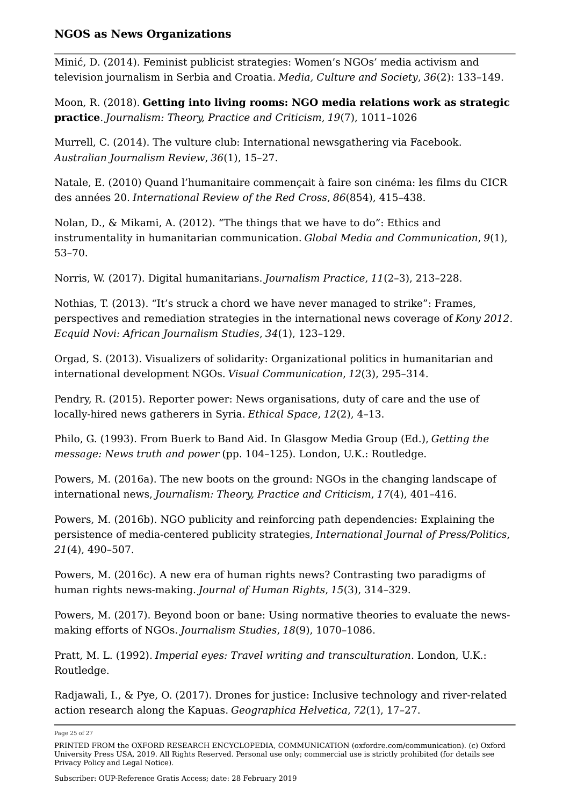Minić, D. (2014). Feminist publicist strategies: Women's NGOs' media activism and television journalism in Serbia and Croatia. *Media, Culture and Society*, *36*(2): 133–149.

Moon, R. (2018). **Getting into living rooms: NGO media relations work as strategic practice**. *Journalism: Theory, Practice and Criticism*, *19*(7), 1011–1026

Murrell, C. (2014). The vulture club: International newsgathering via Facebook. *Australian Journalism Review*, *36*(1), 15–27.

Natale, E. (2010) Quand l'humanitaire commençait à faire son cinéma: les films du CICR des années 20. *International Review of the Red Cross*, *86*(854), 415–438.

Nolan, D., & Mikami, A. (2012). "The things that we have to do": Ethics and instrumentality in humanitarian communication. *Global Media and Communication*, *9*(1), 53–70.

Norris, W. (2017). Digital humanitarians. *Journalism Practice*, *11*(2–3), 213–228.

Nothias, T. (2013). "It's struck a chord we have never managed to strike": Frames, perspectives and remediation strategies in the international news coverage of *Kony 2012*. *Ecquid Novi: African Journalism Studies*, *34*(1), 123–129.

Orgad, S. (2013). Visualizers of solidarity: Organizational politics in humanitarian and international development NGOs. *Visual Communication*, *12*(3), 295–314.

Pendry, R. (2015). Reporter power: News organisations, duty of care and the use of locally-hired news gatherers in Syria. *Ethical Space*, *12*(2), 4–13.

Philo, G. (1993). From Buerk to Band Aid. In Glasgow Media Group (Ed.), *Getting the message: News truth and power* (pp. 104–125). London, U.K.: Routledge.

Powers, M. (2016a). The new boots on the ground: NGOs in the changing landscape of international news, *Journalism: Theory, Practice and Criticism*, *17*(4), 401–416.

Powers, M. (2016b). NGO publicity and reinforcing path dependencies: Explaining the persistence of media-centered publicity strategies, *International Journal of Press/Politics*, *21*(4), 490–507.

Powers, M. (2016c). A new era of human rights news? Contrasting two paradigms of human rights news-making. *Journal of Human Rights*, *15*(3), 314–329.

Powers, M. (2017). Beyond boon or bane: Using normative theories to evaluate the newsmaking efforts of NGOs. *Journalism Studies*, *18*(9), 1070–1086.

Pratt, M. L. (1992). *Imperial eyes: Travel writing and transculturation*. London, U.K.: Routledge.

Radjawali, I., & Pye, O. (2017). Drones for justice: Inclusive technology and river-related action research along the Kapuas. *Geographica Helvetica*, *72*(1), 17–27.

Page 25 of 27

PRINTED FROM the OXFORD RESEARCH ENCYCLOPEDIA, COMMUNICATION (oxfordre.com/communication). (c) Oxford University Press USA, 2019. All Rights Reserved. Personal use only; commercial use is strictly prohibited (for details see Privacy Policy and Legal Notice).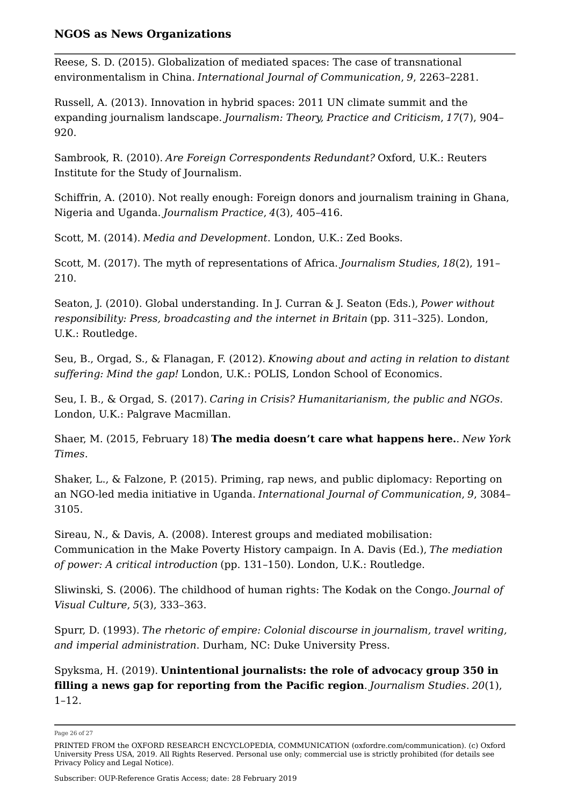Reese, S. D. (2015). Globalization of mediated spaces: The case of transnational environmentalism in China. *International Journal of Communication*, *9*, 2263–2281.

Russell, A. (2013). Innovation in hybrid spaces: 2011 UN climate summit and the expanding journalism landscape. *Journalism: Theory, Practice and Criticism*, *17*(7), 904– 920.

Sambrook, R. (2010). *Are Foreign Correspondents Redundant?* Oxford, U.K.: Reuters Institute for the Study of Journalism.

Schiffrin, A. (2010). Not really enough: Foreign donors and journalism training in Ghana, Nigeria and Uganda. *Journalism Practice*, *4*(3), 405–416.

Scott, M. (2014). *Media and Development*. London, U.K.: Zed Books.

Scott, M. (2017). The myth of representations of Africa. *Journalism Studies*, *18*(2), 191– 210.

Seaton, J. (2010). Global understanding. In J. Curran & J. Seaton (Eds.), *Power without responsibility: Press, broadcasting and the internet in Britain* (pp. 311–325). London, U.K.: Routledge.

Seu, B., Orgad, S., & Flanagan, F. (2012). *Knowing about and acting in relation to distant suffering: Mind the gap!* London, U.K.: POLIS, London School of Economics.

Seu, I. B., & Orgad, S. (2017). *Caring in Crisis? Humanitarianism, the public and NGOs*. London, U.K.: Palgrave Macmillan.

Shaer, M. (2015, February 18) **The media doesn't care what happens here.**. *New York Times*.

Shaker, L., & Falzone, P. (2015). Priming, rap news, and public diplomacy: Reporting on an NGO-led media initiative in Uganda. *International Journal of Communication*, *9*, 3084– 3105.

Sireau, N., & Davis, A. (2008). Interest groups and mediated mobilisation: Communication in the Make Poverty History campaign. In A. Davis (Ed.), *The mediation of power: A critical introduction* (pp. 131–150). London, U.K.: Routledge.

Sliwinski, S. (2006). The childhood of human rights: The Kodak on the Congo. *Journal of Visual Culture*, *5*(3), 333–363.

Spurr, D. (1993). *The rhetoric of empire: Colonial discourse in journalism, travel writing, and imperial administration*. Durham, NC: Duke University Press.

Spyksma, H. (2019). **Unintentional journalists: the role of advocacy group 350 in filling a news gap for reporting from the Pacific region**. *Journalism Studies*. *20*(1), 1–12.

Page 26 of 27

PRINTED FROM the OXFORD RESEARCH ENCYCLOPEDIA, COMMUNICATION (oxfordre.com/communication). (c) Oxford University Press USA, 2019. All Rights Reserved. Personal use only; commercial use is strictly prohibited (for details see Privacy Policy and Legal Notice).